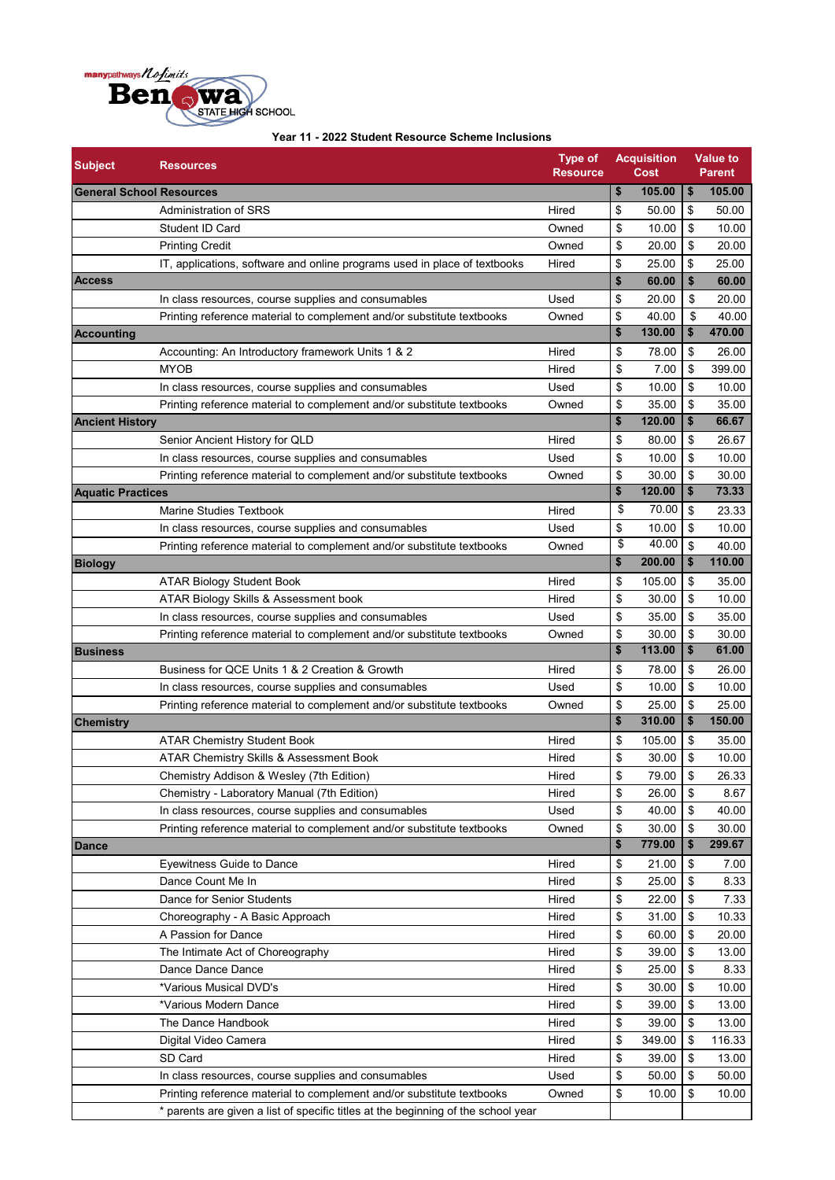

| $\pmb{\$}$<br>\$<br>105.00<br>105.00<br><b>General School Resources</b><br>Administration of SRS<br>Hired<br>50.00<br>\$<br>50.00<br>\$<br>\$<br>\$<br>10.00<br>Student ID Card<br>Owned<br>10.00<br>\$<br><b>Printing Credit</b><br>Owned<br>\$<br>20.00<br>20.00<br>\$<br>\$<br>25.00<br>25.00<br>IT, applications, software and online programs used in place of textbooks<br>Hired<br>\$<br>\$<br>60.00<br>60.00<br>\$<br>\$<br>20.00<br>In class resources, course supplies and consumables<br>Used<br>20.00<br>\$<br>\$<br>40.00<br>Printing reference material to complement and/or substitute textbooks<br>Owned<br>40.00<br>\$<br>\$<br>130.00<br>470.00<br>\$<br>Hired<br>\$<br>78.00<br>26.00<br>Accounting: An Introductory framework Units 1 & 2<br>\$<br>399.00<br><b>MYOB</b><br>Hired<br>\$<br>7.00<br>\$<br>\$<br>10.00<br>10.00<br>In class resources, course supplies and consumables<br>Used<br>\$<br>\$<br>35.00<br>Printing reference material to complement and/or substitute textbooks<br>Owned<br>35.00<br>\$<br>120.00<br>\$<br>66.67<br><b>Ancient History</b><br>\$<br>80.00<br>\$<br>26.67<br>Hired<br>Senior Ancient History for QLD<br>\$<br>\$<br>10.00<br>Used<br>10.00<br>In class resources, course supplies and consumables<br>\$<br>\$<br>Owned<br>30.00<br>30.00<br>Printing reference material to complement and/or substitute textbooks<br>73.33<br>\$<br>120.00<br>\$<br><b>Aquatic Practices</b><br>70.00<br>\$<br>\$<br>23.33<br>Hired<br>Marine Studies Textbook<br>\$<br>10.00<br>Used<br>\$<br>10.00<br>In class resources, course supplies and consumables<br>\$<br>40.00<br>\$<br>Owned<br>40.00<br>Printing reference material to complement and/or substitute textbooks<br>\$<br>110.00<br>\$<br>200.00<br><b>Biology</b><br>\$<br>Hired<br>\$<br>105.00<br>35.00<br><b>ATAR Biology Student Book</b><br>\$<br>Hired<br>\$<br>ATAR Biology Skills & Assessment book<br>30.00<br>10.00<br>Used<br>\$<br>35.00<br>\$<br>35.00<br>In class resources, course supplies and consumables<br>\$<br>\$<br>30.00<br>Printing reference material to complement and/or substitute textbooks<br>Owned<br>30.00<br>\$<br>\$<br>61.00<br>113.00<br><b>Business</b><br>\$<br>Business for QCE Units 1 & 2 Creation & Growth<br>Hired<br>\$<br>78.00<br>26.00<br>\$<br>\$<br>Used<br>10.00<br>10.00<br>In class resources, course supplies and consumables<br>\$<br>Printing reference material to complement and/or substitute textbooks<br>\$<br>25.00<br>25.00<br>Owned<br>\$<br>\$<br>310.00<br>150.00<br><b>Chemistry</b><br>\$<br>105.00<br>\$<br>35.00<br><b>ATAR Chemistry Student Book</b><br>Hired<br>\$<br>\$<br>ATAR Chemistry Skills & Assessment Book<br>Hired<br>30.00<br>10.00<br>\$<br>\$<br>79.00<br>26.33<br>Chemistry Addison & Wesley (7th Edition)<br>Hired<br>\$<br>\$<br>Chemistry - Laboratory Manual (7th Edition)<br>Hired<br>26.00<br>8.67<br>40.00<br>In class resources, course supplies and consumables<br>Used<br>\$<br>\$<br>40.00<br>\$<br>30.00<br>\$<br>Owned<br>30.00<br>Printing reference material to complement and/or substitute textbooks<br>\$<br>779.00<br>299.67<br>\$<br>Hired<br>\$<br>7.00<br><b>Eyewitness Guide to Dance</b><br>\$<br>21.00<br>\$<br>25.00<br>\$<br>Hired<br>8.33<br>Dance Count Me In<br>Hired<br>22.00<br>\$<br>7.33<br>Dance for Senior Students<br>\$<br>Hired<br>31.00<br>\$<br>10.33<br>Choreography - A Basic Approach<br>\$<br>\$<br>\$<br>A Passion for Dance<br>Hired<br>60.00<br>20.00<br>Hired<br>39.00<br>\$<br>The Intimate Act of Choreography<br>\$<br>13.00<br>\$<br>25.00<br>\$<br>Dance Dance Dance<br>Hired<br>8.33<br>\$<br>30.00<br>\$<br>10.00<br>*Various Musical DVD's<br>Hired<br>\$<br>\$<br>*Various Modern Dance<br>39.00<br>13.00<br>Hired<br>\$<br>\$<br>39.00<br>The Dance Handbook<br>Hired<br>13.00<br>\$<br>Hired<br>\$<br>349.00<br>116.33<br>Digital Video Camera<br>\$<br>SD Card<br>\$<br>39.00<br>Hired<br>13.00<br>\$<br>Used<br>\$<br>50.00<br>50.00<br>In class resources, course supplies and consumables | <b>Subject</b>    | <b>Resources</b>                                                      | <b>Type of</b><br>Resource | <b>Acquisition</b><br>Cost | <b>Value to</b><br><b>Parent</b> |
|-----------------------------------------------------------------------------------------------------------------------------------------------------------------------------------------------------------------------------------------------------------------------------------------------------------------------------------------------------------------------------------------------------------------------------------------------------------------------------------------------------------------------------------------------------------------------------------------------------------------------------------------------------------------------------------------------------------------------------------------------------------------------------------------------------------------------------------------------------------------------------------------------------------------------------------------------------------------------------------------------------------------------------------------------------------------------------------------------------------------------------------------------------------------------------------------------------------------------------------------------------------------------------------------------------------------------------------------------------------------------------------------------------------------------------------------------------------------------------------------------------------------------------------------------------------------------------------------------------------------------------------------------------------------------------------------------------------------------------------------------------------------------------------------------------------------------------------------------------------------------------------------------------------------------------------------------------------------------------------------------------------------------------------------------------------------------------------------------------------------------------------------------------------------------------------------------------------------------------------------------------------------------------------------------------------------------------------------------------------------------------------------------------------------------------------------------------------------------------------------------------------------------------------------------------------------------------------------------------------------------------------------------------------------------------------------------------------------------------------------------------------------------------------------------------------------------------------------------------------------------------------------------------------------------------------------------------------------------------------------------------------------------------------------------------------------------------------------------------------------------------------------------------------------------------------------------------------------------------------------------------------------------------------------------------------------------------------------------------------------------------------------------------------------------------------------------------------------------------------------------------------------------------------------------------------------------------------------------------------------------------------------------------------------------------------------------------------------------------------------------------------------------------------------------------------------------------------------------------------------------------------------------------------------------------------------------------------------------------------------------------------------------------------------------------------|-------------------|-----------------------------------------------------------------------|----------------------------|----------------------------|----------------------------------|
|                                                                                                                                                                                                                                                                                                                                                                                                                                                                                                                                                                                                                                                                                                                                                                                                                                                                                                                                                                                                                                                                                                                                                                                                                                                                                                                                                                                                                                                                                                                                                                                                                                                                                                                                                                                                                                                                                                                                                                                                                                                                                                                                                                                                                                                                                                                                                                                                                                                                                                                                                                                                                                                                                                                                                                                                                                                                                                                                                                                                                                                                                                                                                                                                                                                                                                                                                                                                                                                                                                                                                                                                                                                                                                                                                                                                                                                                                                                                                                                                                                                           |                   |                                                                       |                            |                            |                                  |
|                                                                                                                                                                                                                                                                                                                                                                                                                                                                                                                                                                                                                                                                                                                                                                                                                                                                                                                                                                                                                                                                                                                                                                                                                                                                                                                                                                                                                                                                                                                                                                                                                                                                                                                                                                                                                                                                                                                                                                                                                                                                                                                                                                                                                                                                                                                                                                                                                                                                                                                                                                                                                                                                                                                                                                                                                                                                                                                                                                                                                                                                                                                                                                                                                                                                                                                                                                                                                                                                                                                                                                                                                                                                                                                                                                                                                                                                                                                                                                                                                                                           |                   |                                                                       |                            |                            |                                  |
|                                                                                                                                                                                                                                                                                                                                                                                                                                                                                                                                                                                                                                                                                                                                                                                                                                                                                                                                                                                                                                                                                                                                                                                                                                                                                                                                                                                                                                                                                                                                                                                                                                                                                                                                                                                                                                                                                                                                                                                                                                                                                                                                                                                                                                                                                                                                                                                                                                                                                                                                                                                                                                                                                                                                                                                                                                                                                                                                                                                                                                                                                                                                                                                                                                                                                                                                                                                                                                                                                                                                                                                                                                                                                                                                                                                                                                                                                                                                                                                                                                                           |                   |                                                                       |                            |                            |                                  |
|                                                                                                                                                                                                                                                                                                                                                                                                                                                                                                                                                                                                                                                                                                                                                                                                                                                                                                                                                                                                                                                                                                                                                                                                                                                                                                                                                                                                                                                                                                                                                                                                                                                                                                                                                                                                                                                                                                                                                                                                                                                                                                                                                                                                                                                                                                                                                                                                                                                                                                                                                                                                                                                                                                                                                                                                                                                                                                                                                                                                                                                                                                                                                                                                                                                                                                                                                                                                                                                                                                                                                                                                                                                                                                                                                                                                                                                                                                                                                                                                                                                           |                   |                                                                       |                            |                            |                                  |
|                                                                                                                                                                                                                                                                                                                                                                                                                                                                                                                                                                                                                                                                                                                                                                                                                                                                                                                                                                                                                                                                                                                                                                                                                                                                                                                                                                                                                                                                                                                                                                                                                                                                                                                                                                                                                                                                                                                                                                                                                                                                                                                                                                                                                                                                                                                                                                                                                                                                                                                                                                                                                                                                                                                                                                                                                                                                                                                                                                                                                                                                                                                                                                                                                                                                                                                                                                                                                                                                                                                                                                                                                                                                                                                                                                                                                                                                                                                                                                                                                                                           |                   |                                                                       |                            |                            |                                  |
|                                                                                                                                                                                                                                                                                                                                                                                                                                                                                                                                                                                                                                                                                                                                                                                                                                                                                                                                                                                                                                                                                                                                                                                                                                                                                                                                                                                                                                                                                                                                                                                                                                                                                                                                                                                                                                                                                                                                                                                                                                                                                                                                                                                                                                                                                                                                                                                                                                                                                                                                                                                                                                                                                                                                                                                                                                                                                                                                                                                                                                                                                                                                                                                                                                                                                                                                                                                                                                                                                                                                                                                                                                                                                                                                                                                                                                                                                                                                                                                                                                                           | <b>Access</b>     |                                                                       |                            |                            |                                  |
|                                                                                                                                                                                                                                                                                                                                                                                                                                                                                                                                                                                                                                                                                                                                                                                                                                                                                                                                                                                                                                                                                                                                                                                                                                                                                                                                                                                                                                                                                                                                                                                                                                                                                                                                                                                                                                                                                                                                                                                                                                                                                                                                                                                                                                                                                                                                                                                                                                                                                                                                                                                                                                                                                                                                                                                                                                                                                                                                                                                                                                                                                                                                                                                                                                                                                                                                                                                                                                                                                                                                                                                                                                                                                                                                                                                                                                                                                                                                                                                                                                                           |                   |                                                                       |                            |                            |                                  |
|                                                                                                                                                                                                                                                                                                                                                                                                                                                                                                                                                                                                                                                                                                                                                                                                                                                                                                                                                                                                                                                                                                                                                                                                                                                                                                                                                                                                                                                                                                                                                                                                                                                                                                                                                                                                                                                                                                                                                                                                                                                                                                                                                                                                                                                                                                                                                                                                                                                                                                                                                                                                                                                                                                                                                                                                                                                                                                                                                                                                                                                                                                                                                                                                                                                                                                                                                                                                                                                                                                                                                                                                                                                                                                                                                                                                                                                                                                                                                                                                                                                           |                   |                                                                       |                            |                            |                                  |
|                                                                                                                                                                                                                                                                                                                                                                                                                                                                                                                                                                                                                                                                                                                                                                                                                                                                                                                                                                                                                                                                                                                                                                                                                                                                                                                                                                                                                                                                                                                                                                                                                                                                                                                                                                                                                                                                                                                                                                                                                                                                                                                                                                                                                                                                                                                                                                                                                                                                                                                                                                                                                                                                                                                                                                                                                                                                                                                                                                                                                                                                                                                                                                                                                                                                                                                                                                                                                                                                                                                                                                                                                                                                                                                                                                                                                                                                                                                                                                                                                                                           | <b>Accounting</b> |                                                                       |                            |                            |                                  |
|                                                                                                                                                                                                                                                                                                                                                                                                                                                                                                                                                                                                                                                                                                                                                                                                                                                                                                                                                                                                                                                                                                                                                                                                                                                                                                                                                                                                                                                                                                                                                                                                                                                                                                                                                                                                                                                                                                                                                                                                                                                                                                                                                                                                                                                                                                                                                                                                                                                                                                                                                                                                                                                                                                                                                                                                                                                                                                                                                                                                                                                                                                                                                                                                                                                                                                                                                                                                                                                                                                                                                                                                                                                                                                                                                                                                                                                                                                                                                                                                                                                           |                   |                                                                       |                            |                            |                                  |
|                                                                                                                                                                                                                                                                                                                                                                                                                                                                                                                                                                                                                                                                                                                                                                                                                                                                                                                                                                                                                                                                                                                                                                                                                                                                                                                                                                                                                                                                                                                                                                                                                                                                                                                                                                                                                                                                                                                                                                                                                                                                                                                                                                                                                                                                                                                                                                                                                                                                                                                                                                                                                                                                                                                                                                                                                                                                                                                                                                                                                                                                                                                                                                                                                                                                                                                                                                                                                                                                                                                                                                                                                                                                                                                                                                                                                                                                                                                                                                                                                                                           |                   |                                                                       |                            |                            |                                  |
|                                                                                                                                                                                                                                                                                                                                                                                                                                                                                                                                                                                                                                                                                                                                                                                                                                                                                                                                                                                                                                                                                                                                                                                                                                                                                                                                                                                                                                                                                                                                                                                                                                                                                                                                                                                                                                                                                                                                                                                                                                                                                                                                                                                                                                                                                                                                                                                                                                                                                                                                                                                                                                                                                                                                                                                                                                                                                                                                                                                                                                                                                                                                                                                                                                                                                                                                                                                                                                                                                                                                                                                                                                                                                                                                                                                                                                                                                                                                                                                                                                                           |                   |                                                                       |                            |                            |                                  |
|                                                                                                                                                                                                                                                                                                                                                                                                                                                                                                                                                                                                                                                                                                                                                                                                                                                                                                                                                                                                                                                                                                                                                                                                                                                                                                                                                                                                                                                                                                                                                                                                                                                                                                                                                                                                                                                                                                                                                                                                                                                                                                                                                                                                                                                                                                                                                                                                                                                                                                                                                                                                                                                                                                                                                                                                                                                                                                                                                                                                                                                                                                                                                                                                                                                                                                                                                                                                                                                                                                                                                                                                                                                                                                                                                                                                                                                                                                                                                                                                                                                           |                   |                                                                       |                            |                            |                                  |
|                                                                                                                                                                                                                                                                                                                                                                                                                                                                                                                                                                                                                                                                                                                                                                                                                                                                                                                                                                                                                                                                                                                                                                                                                                                                                                                                                                                                                                                                                                                                                                                                                                                                                                                                                                                                                                                                                                                                                                                                                                                                                                                                                                                                                                                                                                                                                                                                                                                                                                                                                                                                                                                                                                                                                                                                                                                                                                                                                                                                                                                                                                                                                                                                                                                                                                                                                                                                                                                                                                                                                                                                                                                                                                                                                                                                                                                                                                                                                                                                                                                           |                   |                                                                       |                            |                            |                                  |
|                                                                                                                                                                                                                                                                                                                                                                                                                                                                                                                                                                                                                                                                                                                                                                                                                                                                                                                                                                                                                                                                                                                                                                                                                                                                                                                                                                                                                                                                                                                                                                                                                                                                                                                                                                                                                                                                                                                                                                                                                                                                                                                                                                                                                                                                                                                                                                                                                                                                                                                                                                                                                                                                                                                                                                                                                                                                                                                                                                                                                                                                                                                                                                                                                                                                                                                                                                                                                                                                                                                                                                                                                                                                                                                                                                                                                                                                                                                                                                                                                                                           |                   |                                                                       |                            |                            |                                  |
|                                                                                                                                                                                                                                                                                                                                                                                                                                                                                                                                                                                                                                                                                                                                                                                                                                                                                                                                                                                                                                                                                                                                                                                                                                                                                                                                                                                                                                                                                                                                                                                                                                                                                                                                                                                                                                                                                                                                                                                                                                                                                                                                                                                                                                                                                                                                                                                                                                                                                                                                                                                                                                                                                                                                                                                                                                                                                                                                                                                                                                                                                                                                                                                                                                                                                                                                                                                                                                                                                                                                                                                                                                                                                                                                                                                                                                                                                                                                                                                                                                                           |                   |                                                                       |                            |                            |                                  |
|                                                                                                                                                                                                                                                                                                                                                                                                                                                                                                                                                                                                                                                                                                                                                                                                                                                                                                                                                                                                                                                                                                                                                                                                                                                                                                                                                                                                                                                                                                                                                                                                                                                                                                                                                                                                                                                                                                                                                                                                                                                                                                                                                                                                                                                                                                                                                                                                                                                                                                                                                                                                                                                                                                                                                                                                                                                                                                                                                                                                                                                                                                                                                                                                                                                                                                                                                                                                                                                                                                                                                                                                                                                                                                                                                                                                                                                                                                                                                                                                                                                           |                   |                                                                       |                            |                            |                                  |
|                                                                                                                                                                                                                                                                                                                                                                                                                                                                                                                                                                                                                                                                                                                                                                                                                                                                                                                                                                                                                                                                                                                                                                                                                                                                                                                                                                                                                                                                                                                                                                                                                                                                                                                                                                                                                                                                                                                                                                                                                                                                                                                                                                                                                                                                                                                                                                                                                                                                                                                                                                                                                                                                                                                                                                                                                                                                                                                                                                                                                                                                                                                                                                                                                                                                                                                                                                                                                                                                                                                                                                                                                                                                                                                                                                                                                                                                                                                                                                                                                                                           |                   |                                                                       |                            |                            |                                  |
|                                                                                                                                                                                                                                                                                                                                                                                                                                                                                                                                                                                                                                                                                                                                                                                                                                                                                                                                                                                                                                                                                                                                                                                                                                                                                                                                                                                                                                                                                                                                                                                                                                                                                                                                                                                                                                                                                                                                                                                                                                                                                                                                                                                                                                                                                                                                                                                                                                                                                                                                                                                                                                                                                                                                                                                                                                                                                                                                                                                                                                                                                                                                                                                                                                                                                                                                                                                                                                                                                                                                                                                                                                                                                                                                                                                                                                                                                                                                                                                                                                                           |                   |                                                                       |                            |                            |                                  |
|                                                                                                                                                                                                                                                                                                                                                                                                                                                                                                                                                                                                                                                                                                                                                                                                                                                                                                                                                                                                                                                                                                                                                                                                                                                                                                                                                                                                                                                                                                                                                                                                                                                                                                                                                                                                                                                                                                                                                                                                                                                                                                                                                                                                                                                                                                                                                                                                                                                                                                                                                                                                                                                                                                                                                                                                                                                                                                                                                                                                                                                                                                                                                                                                                                                                                                                                                                                                                                                                                                                                                                                                                                                                                                                                                                                                                                                                                                                                                                                                                                                           |                   |                                                                       |                            |                            |                                  |
|                                                                                                                                                                                                                                                                                                                                                                                                                                                                                                                                                                                                                                                                                                                                                                                                                                                                                                                                                                                                                                                                                                                                                                                                                                                                                                                                                                                                                                                                                                                                                                                                                                                                                                                                                                                                                                                                                                                                                                                                                                                                                                                                                                                                                                                                                                                                                                                                                                                                                                                                                                                                                                                                                                                                                                                                                                                                                                                                                                                                                                                                                                                                                                                                                                                                                                                                                                                                                                                                                                                                                                                                                                                                                                                                                                                                                                                                                                                                                                                                                                                           |                   |                                                                       |                            |                            |                                  |
|                                                                                                                                                                                                                                                                                                                                                                                                                                                                                                                                                                                                                                                                                                                                                                                                                                                                                                                                                                                                                                                                                                                                                                                                                                                                                                                                                                                                                                                                                                                                                                                                                                                                                                                                                                                                                                                                                                                                                                                                                                                                                                                                                                                                                                                                                                                                                                                                                                                                                                                                                                                                                                                                                                                                                                                                                                                                                                                                                                                                                                                                                                                                                                                                                                                                                                                                                                                                                                                                                                                                                                                                                                                                                                                                                                                                                                                                                                                                                                                                                                                           |                   |                                                                       |                            |                            |                                  |
|                                                                                                                                                                                                                                                                                                                                                                                                                                                                                                                                                                                                                                                                                                                                                                                                                                                                                                                                                                                                                                                                                                                                                                                                                                                                                                                                                                                                                                                                                                                                                                                                                                                                                                                                                                                                                                                                                                                                                                                                                                                                                                                                                                                                                                                                                                                                                                                                                                                                                                                                                                                                                                                                                                                                                                                                                                                                                                                                                                                                                                                                                                                                                                                                                                                                                                                                                                                                                                                                                                                                                                                                                                                                                                                                                                                                                                                                                                                                                                                                                                                           |                   |                                                                       |                            |                            |                                  |
|                                                                                                                                                                                                                                                                                                                                                                                                                                                                                                                                                                                                                                                                                                                                                                                                                                                                                                                                                                                                                                                                                                                                                                                                                                                                                                                                                                                                                                                                                                                                                                                                                                                                                                                                                                                                                                                                                                                                                                                                                                                                                                                                                                                                                                                                                                                                                                                                                                                                                                                                                                                                                                                                                                                                                                                                                                                                                                                                                                                                                                                                                                                                                                                                                                                                                                                                                                                                                                                                                                                                                                                                                                                                                                                                                                                                                                                                                                                                                                                                                                                           |                   |                                                                       |                            |                            |                                  |
|                                                                                                                                                                                                                                                                                                                                                                                                                                                                                                                                                                                                                                                                                                                                                                                                                                                                                                                                                                                                                                                                                                                                                                                                                                                                                                                                                                                                                                                                                                                                                                                                                                                                                                                                                                                                                                                                                                                                                                                                                                                                                                                                                                                                                                                                                                                                                                                                                                                                                                                                                                                                                                                                                                                                                                                                                                                                                                                                                                                                                                                                                                                                                                                                                                                                                                                                                                                                                                                                                                                                                                                                                                                                                                                                                                                                                                                                                                                                                                                                                                                           |                   |                                                                       |                            |                            |                                  |
|                                                                                                                                                                                                                                                                                                                                                                                                                                                                                                                                                                                                                                                                                                                                                                                                                                                                                                                                                                                                                                                                                                                                                                                                                                                                                                                                                                                                                                                                                                                                                                                                                                                                                                                                                                                                                                                                                                                                                                                                                                                                                                                                                                                                                                                                                                                                                                                                                                                                                                                                                                                                                                                                                                                                                                                                                                                                                                                                                                                                                                                                                                                                                                                                                                                                                                                                                                                                                                                                                                                                                                                                                                                                                                                                                                                                                                                                                                                                                                                                                                                           |                   |                                                                       |                            |                            |                                  |
|                                                                                                                                                                                                                                                                                                                                                                                                                                                                                                                                                                                                                                                                                                                                                                                                                                                                                                                                                                                                                                                                                                                                                                                                                                                                                                                                                                                                                                                                                                                                                                                                                                                                                                                                                                                                                                                                                                                                                                                                                                                                                                                                                                                                                                                                                                                                                                                                                                                                                                                                                                                                                                                                                                                                                                                                                                                                                                                                                                                                                                                                                                                                                                                                                                                                                                                                                                                                                                                                                                                                                                                                                                                                                                                                                                                                                                                                                                                                                                                                                                                           |                   |                                                                       |                            |                            |                                  |
|                                                                                                                                                                                                                                                                                                                                                                                                                                                                                                                                                                                                                                                                                                                                                                                                                                                                                                                                                                                                                                                                                                                                                                                                                                                                                                                                                                                                                                                                                                                                                                                                                                                                                                                                                                                                                                                                                                                                                                                                                                                                                                                                                                                                                                                                                                                                                                                                                                                                                                                                                                                                                                                                                                                                                                                                                                                                                                                                                                                                                                                                                                                                                                                                                                                                                                                                                                                                                                                                                                                                                                                                                                                                                                                                                                                                                                                                                                                                                                                                                                                           |                   |                                                                       |                            |                            |                                  |
|                                                                                                                                                                                                                                                                                                                                                                                                                                                                                                                                                                                                                                                                                                                                                                                                                                                                                                                                                                                                                                                                                                                                                                                                                                                                                                                                                                                                                                                                                                                                                                                                                                                                                                                                                                                                                                                                                                                                                                                                                                                                                                                                                                                                                                                                                                                                                                                                                                                                                                                                                                                                                                                                                                                                                                                                                                                                                                                                                                                                                                                                                                                                                                                                                                                                                                                                                                                                                                                                                                                                                                                                                                                                                                                                                                                                                                                                                                                                                                                                                                                           |                   |                                                                       |                            |                            |                                  |
|                                                                                                                                                                                                                                                                                                                                                                                                                                                                                                                                                                                                                                                                                                                                                                                                                                                                                                                                                                                                                                                                                                                                                                                                                                                                                                                                                                                                                                                                                                                                                                                                                                                                                                                                                                                                                                                                                                                                                                                                                                                                                                                                                                                                                                                                                                                                                                                                                                                                                                                                                                                                                                                                                                                                                                                                                                                                                                                                                                                                                                                                                                                                                                                                                                                                                                                                                                                                                                                                                                                                                                                                                                                                                                                                                                                                                                                                                                                                                                                                                                                           |                   |                                                                       |                            |                            |                                  |
|                                                                                                                                                                                                                                                                                                                                                                                                                                                                                                                                                                                                                                                                                                                                                                                                                                                                                                                                                                                                                                                                                                                                                                                                                                                                                                                                                                                                                                                                                                                                                                                                                                                                                                                                                                                                                                                                                                                                                                                                                                                                                                                                                                                                                                                                                                                                                                                                                                                                                                                                                                                                                                                                                                                                                                                                                                                                                                                                                                                                                                                                                                                                                                                                                                                                                                                                                                                                                                                                                                                                                                                                                                                                                                                                                                                                                                                                                                                                                                                                                                                           |                   |                                                                       |                            |                            |                                  |
|                                                                                                                                                                                                                                                                                                                                                                                                                                                                                                                                                                                                                                                                                                                                                                                                                                                                                                                                                                                                                                                                                                                                                                                                                                                                                                                                                                                                                                                                                                                                                                                                                                                                                                                                                                                                                                                                                                                                                                                                                                                                                                                                                                                                                                                                                                                                                                                                                                                                                                                                                                                                                                                                                                                                                                                                                                                                                                                                                                                                                                                                                                                                                                                                                                                                                                                                                                                                                                                                                                                                                                                                                                                                                                                                                                                                                                                                                                                                                                                                                                                           |                   |                                                                       |                            |                            |                                  |
|                                                                                                                                                                                                                                                                                                                                                                                                                                                                                                                                                                                                                                                                                                                                                                                                                                                                                                                                                                                                                                                                                                                                                                                                                                                                                                                                                                                                                                                                                                                                                                                                                                                                                                                                                                                                                                                                                                                                                                                                                                                                                                                                                                                                                                                                                                                                                                                                                                                                                                                                                                                                                                                                                                                                                                                                                                                                                                                                                                                                                                                                                                                                                                                                                                                                                                                                                                                                                                                                                                                                                                                                                                                                                                                                                                                                                                                                                                                                                                                                                                                           |                   |                                                                       |                            |                            |                                  |
|                                                                                                                                                                                                                                                                                                                                                                                                                                                                                                                                                                                                                                                                                                                                                                                                                                                                                                                                                                                                                                                                                                                                                                                                                                                                                                                                                                                                                                                                                                                                                                                                                                                                                                                                                                                                                                                                                                                                                                                                                                                                                                                                                                                                                                                                                                                                                                                                                                                                                                                                                                                                                                                                                                                                                                                                                                                                                                                                                                                                                                                                                                                                                                                                                                                                                                                                                                                                                                                                                                                                                                                                                                                                                                                                                                                                                                                                                                                                                                                                                                                           |                   |                                                                       |                            |                            |                                  |
|                                                                                                                                                                                                                                                                                                                                                                                                                                                                                                                                                                                                                                                                                                                                                                                                                                                                                                                                                                                                                                                                                                                                                                                                                                                                                                                                                                                                                                                                                                                                                                                                                                                                                                                                                                                                                                                                                                                                                                                                                                                                                                                                                                                                                                                                                                                                                                                                                                                                                                                                                                                                                                                                                                                                                                                                                                                                                                                                                                                                                                                                                                                                                                                                                                                                                                                                                                                                                                                                                                                                                                                                                                                                                                                                                                                                                                                                                                                                                                                                                                                           |                   |                                                                       |                            |                            |                                  |
|                                                                                                                                                                                                                                                                                                                                                                                                                                                                                                                                                                                                                                                                                                                                                                                                                                                                                                                                                                                                                                                                                                                                                                                                                                                                                                                                                                                                                                                                                                                                                                                                                                                                                                                                                                                                                                                                                                                                                                                                                                                                                                                                                                                                                                                                                                                                                                                                                                                                                                                                                                                                                                                                                                                                                                                                                                                                                                                                                                                                                                                                                                                                                                                                                                                                                                                                                                                                                                                                                                                                                                                                                                                                                                                                                                                                                                                                                                                                                                                                                                                           |                   |                                                                       |                            |                            |                                  |
|                                                                                                                                                                                                                                                                                                                                                                                                                                                                                                                                                                                                                                                                                                                                                                                                                                                                                                                                                                                                                                                                                                                                                                                                                                                                                                                                                                                                                                                                                                                                                                                                                                                                                                                                                                                                                                                                                                                                                                                                                                                                                                                                                                                                                                                                                                                                                                                                                                                                                                                                                                                                                                                                                                                                                                                                                                                                                                                                                                                                                                                                                                                                                                                                                                                                                                                                                                                                                                                                                                                                                                                                                                                                                                                                                                                                                                                                                                                                                                                                                                                           |                   |                                                                       |                            |                            |                                  |
|                                                                                                                                                                                                                                                                                                                                                                                                                                                                                                                                                                                                                                                                                                                                                                                                                                                                                                                                                                                                                                                                                                                                                                                                                                                                                                                                                                                                                                                                                                                                                                                                                                                                                                                                                                                                                                                                                                                                                                                                                                                                                                                                                                                                                                                                                                                                                                                                                                                                                                                                                                                                                                                                                                                                                                                                                                                                                                                                                                                                                                                                                                                                                                                                                                                                                                                                                                                                                                                                                                                                                                                                                                                                                                                                                                                                                                                                                                                                                                                                                                                           |                   |                                                                       |                            |                            |                                  |
|                                                                                                                                                                                                                                                                                                                                                                                                                                                                                                                                                                                                                                                                                                                                                                                                                                                                                                                                                                                                                                                                                                                                                                                                                                                                                                                                                                                                                                                                                                                                                                                                                                                                                                                                                                                                                                                                                                                                                                                                                                                                                                                                                                                                                                                                                                                                                                                                                                                                                                                                                                                                                                                                                                                                                                                                                                                                                                                                                                                                                                                                                                                                                                                                                                                                                                                                                                                                                                                                                                                                                                                                                                                                                                                                                                                                                                                                                                                                                                                                                                                           | <b>Dance</b>      |                                                                       |                            |                            |                                  |
|                                                                                                                                                                                                                                                                                                                                                                                                                                                                                                                                                                                                                                                                                                                                                                                                                                                                                                                                                                                                                                                                                                                                                                                                                                                                                                                                                                                                                                                                                                                                                                                                                                                                                                                                                                                                                                                                                                                                                                                                                                                                                                                                                                                                                                                                                                                                                                                                                                                                                                                                                                                                                                                                                                                                                                                                                                                                                                                                                                                                                                                                                                                                                                                                                                                                                                                                                                                                                                                                                                                                                                                                                                                                                                                                                                                                                                                                                                                                                                                                                                                           |                   |                                                                       |                            |                            |                                  |
|                                                                                                                                                                                                                                                                                                                                                                                                                                                                                                                                                                                                                                                                                                                                                                                                                                                                                                                                                                                                                                                                                                                                                                                                                                                                                                                                                                                                                                                                                                                                                                                                                                                                                                                                                                                                                                                                                                                                                                                                                                                                                                                                                                                                                                                                                                                                                                                                                                                                                                                                                                                                                                                                                                                                                                                                                                                                                                                                                                                                                                                                                                                                                                                                                                                                                                                                                                                                                                                                                                                                                                                                                                                                                                                                                                                                                                                                                                                                                                                                                                                           |                   |                                                                       |                            |                            |                                  |
|                                                                                                                                                                                                                                                                                                                                                                                                                                                                                                                                                                                                                                                                                                                                                                                                                                                                                                                                                                                                                                                                                                                                                                                                                                                                                                                                                                                                                                                                                                                                                                                                                                                                                                                                                                                                                                                                                                                                                                                                                                                                                                                                                                                                                                                                                                                                                                                                                                                                                                                                                                                                                                                                                                                                                                                                                                                                                                                                                                                                                                                                                                                                                                                                                                                                                                                                                                                                                                                                                                                                                                                                                                                                                                                                                                                                                                                                                                                                                                                                                                                           |                   |                                                                       |                            |                            |                                  |
|                                                                                                                                                                                                                                                                                                                                                                                                                                                                                                                                                                                                                                                                                                                                                                                                                                                                                                                                                                                                                                                                                                                                                                                                                                                                                                                                                                                                                                                                                                                                                                                                                                                                                                                                                                                                                                                                                                                                                                                                                                                                                                                                                                                                                                                                                                                                                                                                                                                                                                                                                                                                                                                                                                                                                                                                                                                                                                                                                                                                                                                                                                                                                                                                                                                                                                                                                                                                                                                                                                                                                                                                                                                                                                                                                                                                                                                                                                                                                                                                                                                           |                   |                                                                       |                            |                            |                                  |
|                                                                                                                                                                                                                                                                                                                                                                                                                                                                                                                                                                                                                                                                                                                                                                                                                                                                                                                                                                                                                                                                                                                                                                                                                                                                                                                                                                                                                                                                                                                                                                                                                                                                                                                                                                                                                                                                                                                                                                                                                                                                                                                                                                                                                                                                                                                                                                                                                                                                                                                                                                                                                                                                                                                                                                                                                                                                                                                                                                                                                                                                                                                                                                                                                                                                                                                                                                                                                                                                                                                                                                                                                                                                                                                                                                                                                                                                                                                                                                                                                                                           |                   |                                                                       |                            |                            |                                  |
|                                                                                                                                                                                                                                                                                                                                                                                                                                                                                                                                                                                                                                                                                                                                                                                                                                                                                                                                                                                                                                                                                                                                                                                                                                                                                                                                                                                                                                                                                                                                                                                                                                                                                                                                                                                                                                                                                                                                                                                                                                                                                                                                                                                                                                                                                                                                                                                                                                                                                                                                                                                                                                                                                                                                                                                                                                                                                                                                                                                                                                                                                                                                                                                                                                                                                                                                                                                                                                                                                                                                                                                                                                                                                                                                                                                                                                                                                                                                                                                                                                                           |                   |                                                                       |                            |                            |                                  |
|                                                                                                                                                                                                                                                                                                                                                                                                                                                                                                                                                                                                                                                                                                                                                                                                                                                                                                                                                                                                                                                                                                                                                                                                                                                                                                                                                                                                                                                                                                                                                                                                                                                                                                                                                                                                                                                                                                                                                                                                                                                                                                                                                                                                                                                                                                                                                                                                                                                                                                                                                                                                                                                                                                                                                                                                                                                                                                                                                                                                                                                                                                                                                                                                                                                                                                                                                                                                                                                                                                                                                                                                                                                                                                                                                                                                                                                                                                                                                                                                                                                           |                   |                                                                       |                            |                            |                                  |
|                                                                                                                                                                                                                                                                                                                                                                                                                                                                                                                                                                                                                                                                                                                                                                                                                                                                                                                                                                                                                                                                                                                                                                                                                                                                                                                                                                                                                                                                                                                                                                                                                                                                                                                                                                                                                                                                                                                                                                                                                                                                                                                                                                                                                                                                                                                                                                                                                                                                                                                                                                                                                                                                                                                                                                                                                                                                                                                                                                                                                                                                                                                                                                                                                                                                                                                                                                                                                                                                                                                                                                                                                                                                                                                                                                                                                                                                                                                                                                                                                                                           |                   |                                                                       |                            |                            |                                  |
|                                                                                                                                                                                                                                                                                                                                                                                                                                                                                                                                                                                                                                                                                                                                                                                                                                                                                                                                                                                                                                                                                                                                                                                                                                                                                                                                                                                                                                                                                                                                                                                                                                                                                                                                                                                                                                                                                                                                                                                                                                                                                                                                                                                                                                                                                                                                                                                                                                                                                                                                                                                                                                                                                                                                                                                                                                                                                                                                                                                                                                                                                                                                                                                                                                                                                                                                                                                                                                                                                                                                                                                                                                                                                                                                                                                                                                                                                                                                                                                                                                                           |                   |                                                                       |                            |                            |                                  |
|                                                                                                                                                                                                                                                                                                                                                                                                                                                                                                                                                                                                                                                                                                                                                                                                                                                                                                                                                                                                                                                                                                                                                                                                                                                                                                                                                                                                                                                                                                                                                                                                                                                                                                                                                                                                                                                                                                                                                                                                                                                                                                                                                                                                                                                                                                                                                                                                                                                                                                                                                                                                                                                                                                                                                                                                                                                                                                                                                                                                                                                                                                                                                                                                                                                                                                                                                                                                                                                                                                                                                                                                                                                                                                                                                                                                                                                                                                                                                                                                                                                           |                   |                                                                       |                            |                            |                                  |
|                                                                                                                                                                                                                                                                                                                                                                                                                                                                                                                                                                                                                                                                                                                                                                                                                                                                                                                                                                                                                                                                                                                                                                                                                                                                                                                                                                                                                                                                                                                                                                                                                                                                                                                                                                                                                                                                                                                                                                                                                                                                                                                                                                                                                                                                                                                                                                                                                                                                                                                                                                                                                                                                                                                                                                                                                                                                                                                                                                                                                                                                                                                                                                                                                                                                                                                                                                                                                                                                                                                                                                                                                                                                                                                                                                                                                                                                                                                                                                                                                                                           |                   |                                                                       |                            |                            |                                  |
|                                                                                                                                                                                                                                                                                                                                                                                                                                                                                                                                                                                                                                                                                                                                                                                                                                                                                                                                                                                                                                                                                                                                                                                                                                                                                                                                                                                                                                                                                                                                                                                                                                                                                                                                                                                                                                                                                                                                                                                                                                                                                                                                                                                                                                                                                                                                                                                                                                                                                                                                                                                                                                                                                                                                                                                                                                                                                                                                                                                                                                                                                                                                                                                                                                                                                                                                                                                                                                                                                                                                                                                                                                                                                                                                                                                                                                                                                                                                                                                                                                                           |                   |                                                                       |                            |                            |                                  |
|                                                                                                                                                                                                                                                                                                                                                                                                                                                                                                                                                                                                                                                                                                                                                                                                                                                                                                                                                                                                                                                                                                                                                                                                                                                                                                                                                                                                                                                                                                                                                                                                                                                                                                                                                                                                                                                                                                                                                                                                                                                                                                                                                                                                                                                                                                                                                                                                                                                                                                                                                                                                                                                                                                                                                                                                                                                                                                                                                                                                                                                                                                                                                                                                                                                                                                                                                                                                                                                                                                                                                                                                                                                                                                                                                                                                                                                                                                                                                                                                                                                           |                   |                                                                       |                            |                            |                                  |
|                                                                                                                                                                                                                                                                                                                                                                                                                                                                                                                                                                                                                                                                                                                                                                                                                                                                                                                                                                                                                                                                                                                                                                                                                                                                                                                                                                                                                                                                                                                                                                                                                                                                                                                                                                                                                                                                                                                                                                                                                                                                                                                                                                                                                                                                                                                                                                                                                                                                                                                                                                                                                                                                                                                                                                                                                                                                                                                                                                                                                                                                                                                                                                                                                                                                                                                                                                                                                                                                                                                                                                                                                                                                                                                                                                                                                                                                                                                                                                                                                                                           |                   | Printing reference material to complement and/or substitute textbooks | Owned                      | \$<br>10.00                | \$<br>10.00                      |
| * parents are given a list of specific titles at the beginning of the school year                                                                                                                                                                                                                                                                                                                                                                                                                                                                                                                                                                                                                                                                                                                                                                                                                                                                                                                                                                                                                                                                                                                                                                                                                                                                                                                                                                                                                                                                                                                                                                                                                                                                                                                                                                                                                                                                                                                                                                                                                                                                                                                                                                                                                                                                                                                                                                                                                                                                                                                                                                                                                                                                                                                                                                                                                                                                                                                                                                                                                                                                                                                                                                                                                                                                                                                                                                                                                                                                                                                                                                                                                                                                                                                                                                                                                                                                                                                                                                         |                   |                                                                       |                            |                            |                                  |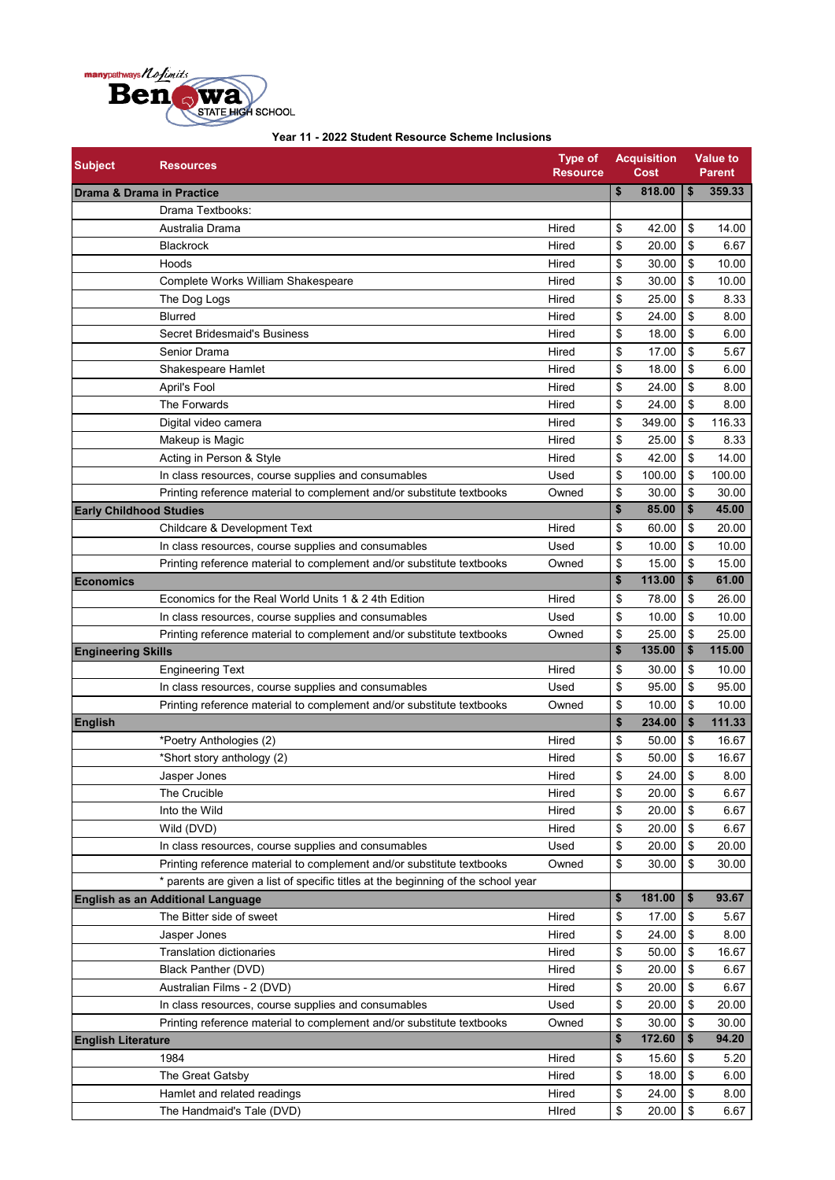

| <b>Subject</b>                 | <b>Resources</b>                                                                  | <b>Type of</b><br><b>Resource</b> | <b>Acquisition</b><br>Cost |        | <b>Value to</b><br><b>Parent</b> |        |  |
|--------------------------------|-----------------------------------------------------------------------------------|-----------------------------------|----------------------------|--------|----------------------------------|--------|--|
|                                | Drama & Drama in Practice                                                         |                                   | \$                         | 818.00 | \$                               | 359.33 |  |
|                                | Drama Textbooks:                                                                  |                                   |                            |        |                                  |        |  |
|                                | Australia Drama                                                                   | Hired                             | \$                         | 42.00  | \$                               | 14.00  |  |
|                                | Blackrock                                                                         | Hired                             | \$                         | 20.00  | \$                               | 6.67   |  |
|                                | Hoods                                                                             | Hired                             | \$                         | 30.00  | \$                               | 10.00  |  |
|                                | Complete Works William Shakespeare                                                | Hired                             | \$                         | 30.00  | \$                               | 10.00  |  |
|                                | The Dog Logs                                                                      | Hired                             | \$                         | 25.00  | \$                               | 8.33   |  |
|                                | <b>Blurred</b>                                                                    | Hired                             | \$                         | 24.00  | \$                               | 8.00   |  |
|                                | Secret Bridesmaid's Business                                                      | Hired                             | \$                         | 18.00  | \$                               | 6.00   |  |
|                                | Senior Drama                                                                      | Hired                             | \$                         | 17.00  | \$                               | 5.67   |  |
|                                | Shakespeare Hamlet                                                                | Hired                             | \$                         | 18.00  | \$                               | 6.00   |  |
|                                | April's Fool                                                                      | Hired                             | \$                         | 24.00  | \$                               | 8.00   |  |
|                                | The Forwards                                                                      | Hired                             | \$                         | 24.00  | \$                               | 8.00   |  |
|                                | Digital video camera                                                              | Hired                             | \$                         | 349.00 | \$                               | 116.33 |  |
|                                | Makeup is Magic                                                                   | Hired                             | \$                         | 25.00  | \$                               | 8.33   |  |
|                                | Acting in Person & Style                                                          | Hired                             | \$                         | 42.00  | \$                               | 14.00  |  |
|                                | In class resources, course supplies and consumables                               | Used                              | \$                         | 100.00 | \$                               | 100.00 |  |
|                                | Printing reference material to complement and/or substitute textbooks             | Owned                             | \$                         | 30.00  | \$                               | 30.00  |  |
| <b>Early Childhood Studies</b> |                                                                                   |                                   | \$                         | 85.00  | \$                               | 45.00  |  |
|                                | Childcare & Development Text                                                      | Hired                             | \$                         | 60.00  | \$                               | 20.00  |  |
|                                | In class resources, course supplies and consumables                               | Used                              | \$                         | 10.00  | \$                               | 10.00  |  |
|                                | Printing reference material to complement and/or substitute textbooks             | Owned                             | \$                         | 15.00  | \$                               | 15.00  |  |
| <b>Economics</b>               |                                                                                   |                                   | \$                         | 113.00 | \$                               | 61.00  |  |
|                                | Economics for the Real World Units 1 & 2 4th Edition                              | Hired                             | \$                         | 78.00  | \$                               | 26.00  |  |
|                                | In class resources, course supplies and consumables                               | Used                              | \$                         | 10.00  | \$                               | 10.00  |  |
|                                | Printing reference material to complement and/or substitute textbooks             | Owned                             | \$                         | 25.00  | \$                               | 25.00  |  |
| <b>Engineering Skills</b>      |                                                                                   |                                   | \$                         | 135.00 | \$                               | 115.00 |  |
|                                | <b>Engineering Text</b>                                                           | Hired                             | \$                         | 30.00  | \$                               | 10.00  |  |
|                                | In class resources, course supplies and consumables                               | Used                              | \$                         | 95.00  | \$                               | 95.00  |  |
|                                | Printing reference material to complement and/or substitute textbooks             | Owned                             | \$                         | 10.00  | \$                               | 10.00  |  |
| <b>English</b>                 |                                                                                   |                                   | \$                         | 234.00 | \$                               | 111.33 |  |
|                                | *Poetry Anthologies (2)                                                           | Hired                             | \$                         | 50.00  | \$                               | 16.67  |  |
|                                | *Short story anthology (2)                                                        | Hired                             | \$                         | 50.00  | \$                               | 16.67  |  |
|                                | Jasper Jones                                                                      | Hired                             | \$                         | 24.00  | \$                               | 8.00   |  |
|                                | The Crucible                                                                      | Hired                             | \$                         | 20.00  | \$                               | 6.67   |  |
|                                | Into the Wild                                                                     | Hired                             | \$                         | 20.00  | \$                               | 6.67   |  |
|                                | Wild (DVD)                                                                        | Hired                             | \$                         | 20.00  | \$                               | 6.67   |  |
|                                | In class resources, course supplies and consumables                               | Used                              | \$                         | 20.00  | \$                               | 20.00  |  |
|                                | Printing reference material to complement and/or substitute textbooks             | Owned                             | \$                         | 30.00  | \$                               | 30.00  |  |
|                                | * parents are given a list of specific titles at the beginning of the school year |                                   |                            |        |                                  |        |  |
|                                | <b>English as an Additional Language</b>                                          |                                   | \$                         | 181.00 | \$                               | 93.67  |  |
|                                | The Bitter side of sweet                                                          | Hired                             | \$                         | 17.00  | \$                               | 5.67   |  |
|                                | Jasper Jones                                                                      | Hired                             | \$                         | 24.00  | \$                               | 8.00   |  |
|                                | <b>Translation dictionaries</b>                                                   | Hired                             | \$                         | 50.00  | \$                               | 16.67  |  |
|                                | <b>Black Panther (DVD)</b>                                                        | Hired                             | \$                         | 20.00  | \$                               | 6.67   |  |
|                                | Australian Films - 2 (DVD)                                                        | Hired                             | \$                         | 20.00  | \$                               | 6.67   |  |
|                                | In class resources, course supplies and consumables                               | Used                              | \$                         | 20.00  | \$                               | 20.00  |  |
|                                | Printing reference material to complement and/or substitute textbooks             | Owned                             | \$                         | 30.00  | \$                               | 30.00  |  |
| <b>English Literature</b>      |                                                                                   |                                   | \$                         | 172.60 | \$                               | 94.20  |  |
|                                | 1984                                                                              | Hired                             | \$                         | 15.60  | \$                               | 5.20   |  |
|                                | The Great Gatsby                                                                  | Hired                             | \$                         | 18.00  | \$                               | 6.00   |  |
|                                | Hamlet and related readings                                                       | Hired                             | \$                         | 24.00  | \$                               | 8.00   |  |
|                                | The Handmaid's Tale (DVD)                                                         | HIred                             | \$                         | 20.00  | \$                               | 6.67   |  |
|                                |                                                                                   |                                   |                            |        |                                  |        |  |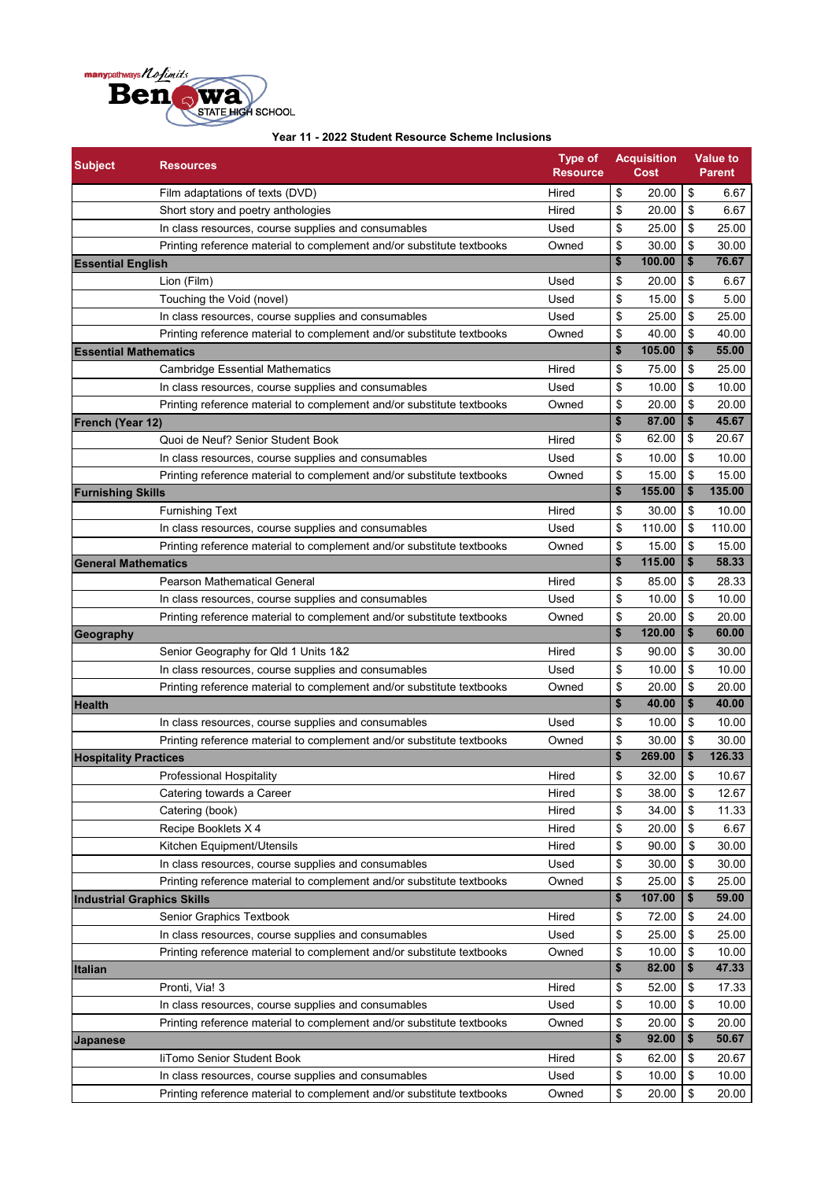

| 20.00<br>\$<br>Hired<br>\$<br>6.67<br>Film adaptations of texts (DVD)<br>20.00<br>\$<br>6.67<br>Short story and poetry anthologies<br>Hired<br>\$<br>\$<br>\$<br>In class resources, course supplies and consumables<br>Used<br>25.00<br>25.00<br>\$<br>30.00<br>Printing reference material to complement and/or substitute textbooks<br>\$<br>30.00<br>Owned<br>\$<br>\$<br>76.67<br>100.00<br><b>Essential English</b><br>\$<br>Lion (Film)<br>\$<br>20.00<br>6.67<br>Used<br>\$<br>\$<br>Touching the Void (novel)<br>15.00<br>5.00<br>Used<br>\$<br>\$<br>In class resources, course supplies and consumables<br>25.00<br>25.00<br>Used<br>\$<br>\$<br>40.00<br>40.00<br>Printing reference material to complement and/or substitute textbooks<br>Owned<br>\$<br>\$<br>105.00<br>55.00<br><b>Essential Mathematics</b><br>\$<br>75.00<br>\$<br>25.00<br><b>Cambridge Essential Mathematics</b><br>Hired<br>\$<br>\$<br>10.00<br>10.00<br>In class resources, course supplies and consumables<br>Used<br>\$<br>\$<br>Printing reference material to complement and/or substitute textbooks<br>Owned<br>20.00<br>20.00<br>\$<br>\$<br>45.67<br>87.00<br><b>French (Year 12)</b><br>\$<br>20.67<br>\$<br>62.00<br>Quoi de Neuf? Senior Student Book<br>Hired<br>\$<br>\$<br>10.00<br>10.00<br>In class resources, course supplies and consumables<br>Used<br>\$<br>\$<br>Owned<br>15.00<br>15.00<br>Printing reference material to complement and/or substitute textbooks<br>135.00<br>\$<br>155.00<br>\$<br><b>Furnishing Skills</b><br>\$<br>Hired<br>\$<br>30.00<br><b>Furnishing Text</b><br>10.00<br>\$<br>110.00<br>Used<br>\$<br>110.00<br>In class resources, course supplies and consumables<br>\$<br>Owned<br>\$<br>15.00<br>15.00<br>Printing reference material to complement and/or substitute textbooks<br>\$<br>\$<br>58.33<br>115.00<br><b>General Mathematics</b><br>\$<br><b>Pearson Mathematical General</b><br>Hired<br>\$<br>85.00<br>28.33<br>\$<br>Used<br>\$<br>10.00<br>In class resources, course supplies and consumables<br>10.00<br>\$<br>20.00<br>Printing reference material to complement and/or substitute textbooks<br>Owned<br>\$<br>20.00<br>\$<br>\$<br>120.00<br>60.00<br>\$<br>\$<br>90.00<br>30.00<br>Senior Geography for Qld 1 Units 1&2<br>Hired<br>\$<br>\$<br>Used<br>10.00<br>10.00<br>In class resources, course supplies and consumables<br>\$<br>\$<br>Printing reference material to complement and/or substitute textbooks<br>20.00<br>20.00<br>Owned<br>\$<br>\$<br>40.00<br>40.00<br>\$<br>\$<br>10.00<br>Used<br>10.00<br>In class resources, course supplies and consumables<br>\$<br>\$<br>30.00<br>30.00<br>Printing reference material to complement and/or substitute textbooks<br>Owned<br>\$<br>\$<br>126.33<br>269.00<br><b>Hospitality Practices</b><br>\$<br>\$<br>32.00<br>10.67<br>Professional Hospitality<br>Hired<br>\$<br>\$<br>38.00<br>12.67<br>Catering towards a Career<br>Hired<br>Hired<br>\$<br>34.00<br>\$<br>11.33<br>Catering (book)<br>\$<br>Recipe Booklets X 4<br>\$<br>20.00<br>6.67<br>Hired<br>\$<br>\$<br>Kitchen Equipment/Utensils<br>Hired<br>90.00<br>30.00<br>\$<br>\$<br>In class resources, course supplies and consumables<br>Used<br>30.00<br>30.00<br>25.00<br>Owned<br>\$<br>\$<br>25.00<br>Printing reference material to complement and/or substitute textbooks<br>\$<br>107.00<br>\$<br>59.00<br><b>Industrial Graphics Skills</b><br>Senior Graphics Textbook<br>72.00<br>\$<br>24.00<br>Hired<br>\$<br>\$<br>\$<br>In class resources, course supplies and consumables<br>Used<br>25.00<br>25.00<br>Printing reference material to complement and/or substitute textbooks<br>10.00<br>\$<br>10.00<br>Owned<br>\$<br>\$<br>\$<br>47.33<br>82.00<br>\$<br>Pronti, Via! 3<br>Hired<br>\$<br>52.00<br>17.33<br>\$<br>\$<br>10.00<br>10.00<br>In class resources, course supplies and consumables<br>Used<br>\$<br>\$<br>20.00<br>Printing reference material to complement and/or substitute textbooks<br>Owned<br>20.00<br>\$<br>92.00<br>\$<br>50.67<br><b>Japanese</b><br>\$<br>liTomo Senior Student Book<br>Hired<br>\$<br>62.00<br>20.67<br>\$<br>\$<br>10.00<br>10.00<br>In class resources, course supplies and consumables<br>Used<br>\$<br>Owned<br>\$<br>Printing reference material to complement and/or substitute textbooks<br>20.00 | <b>Subject</b> | <b>Resources</b> | <b>Type of</b><br><b>Resource</b> | <b>Acquisition</b><br>Cost |       | <b>Value to</b><br><b>Parent</b> |  |  |
|---------------------------------------------------------------------------------------------------------------------------------------------------------------------------------------------------------------------------------------------------------------------------------------------------------------------------------------------------------------------------------------------------------------------------------------------------------------------------------------------------------------------------------------------------------------------------------------------------------------------------------------------------------------------------------------------------------------------------------------------------------------------------------------------------------------------------------------------------------------------------------------------------------------------------------------------------------------------------------------------------------------------------------------------------------------------------------------------------------------------------------------------------------------------------------------------------------------------------------------------------------------------------------------------------------------------------------------------------------------------------------------------------------------------------------------------------------------------------------------------------------------------------------------------------------------------------------------------------------------------------------------------------------------------------------------------------------------------------------------------------------------------------------------------------------------------------------------------------------------------------------------------------------------------------------------------------------------------------------------------------------------------------------------------------------------------------------------------------------------------------------------------------------------------------------------------------------------------------------------------------------------------------------------------------------------------------------------------------------------------------------------------------------------------------------------------------------------------------------------------------------------------------------------------------------------------------------------------------------------------------------------------------------------------------------------------------------------------------------------------------------------------------------------------------------------------------------------------------------------------------------------------------------------------------------------------------------------------------------------------------------------------------------------------------------------------------------------------------------------------------------------------------------------------------------------------------------------------------------------------------------------------------------------------------------------------------------------------------------------------------------------------------------------------------------------------------------------------------------------------------------------------------------------------------------------------------------------------------------------------------------------------------------------------------------------------------------------------------------------------------------------------------------------------------------------------------------------------------------------------------------------------------------------------------------------------------------------------------------------------------------------------------------------------------------------------------------------------------------------------------------------------------------------------------------------------------------------------------------------------------------------------------------------------------------------------------------------------------------|----------------|------------------|-----------------------------------|----------------------------|-------|----------------------------------|--|--|
|                                                                                                                                                                                                                                                                                                                                                                                                                                                                                                                                                                                                                                                                                                                                                                                                                                                                                                                                                                                                                                                                                                                                                                                                                                                                                                                                                                                                                                                                                                                                                                                                                                                                                                                                                                                                                                                                                                                                                                                                                                                                                                                                                                                                                                                                                                                                                                                                                                                                                                                                                                                                                                                                                                                                                                                                                                                                                                                                                                                                                                                                                                                                                                                                                                                                                                                                                                                                                                                                                                                                                                                                                                                                                                                                                                                                                                                                                                                                                                                                                                                                                                                                                                                                                                                                                                                                                         |                |                  |                                   |                            |       |                                  |  |  |
|                                                                                                                                                                                                                                                                                                                                                                                                                                                                                                                                                                                                                                                                                                                                                                                                                                                                                                                                                                                                                                                                                                                                                                                                                                                                                                                                                                                                                                                                                                                                                                                                                                                                                                                                                                                                                                                                                                                                                                                                                                                                                                                                                                                                                                                                                                                                                                                                                                                                                                                                                                                                                                                                                                                                                                                                                                                                                                                                                                                                                                                                                                                                                                                                                                                                                                                                                                                                                                                                                                                                                                                                                                                                                                                                                                                                                                                                                                                                                                                                                                                                                                                                                                                                                                                                                                                                                         |                |                  |                                   |                            |       |                                  |  |  |
|                                                                                                                                                                                                                                                                                                                                                                                                                                                                                                                                                                                                                                                                                                                                                                                                                                                                                                                                                                                                                                                                                                                                                                                                                                                                                                                                                                                                                                                                                                                                                                                                                                                                                                                                                                                                                                                                                                                                                                                                                                                                                                                                                                                                                                                                                                                                                                                                                                                                                                                                                                                                                                                                                                                                                                                                                                                                                                                                                                                                                                                                                                                                                                                                                                                                                                                                                                                                                                                                                                                                                                                                                                                                                                                                                                                                                                                                                                                                                                                                                                                                                                                                                                                                                                                                                                                                                         |                |                  |                                   |                            |       |                                  |  |  |
|                                                                                                                                                                                                                                                                                                                                                                                                                                                                                                                                                                                                                                                                                                                                                                                                                                                                                                                                                                                                                                                                                                                                                                                                                                                                                                                                                                                                                                                                                                                                                                                                                                                                                                                                                                                                                                                                                                                                                                                                                                                                                                                                                                                                                                                                                                                                                                                                                                                                                                                                                                                                                                                                                                                                                                                                                                                                                                                                                                                                                                                                                                                                                                                                                                                                                                                                                                                                                                                                                                                                                                                                                                                                                                                                                                                                                                                                                                                                                                                                                                                                                                                                                                                                                                                                                                                                                         |                |                  |                                   |                            |       |                                  |  |  |
|                                                                                                                                                                                                                                                                                                                                                                                                                                                                                                                                                                                                                                                                                                                                                                                                                                                                                                                                                                                                                                                                                                                                                                                                                                                                                                                                                                                                                                                                                                                                                                                                                                                                                                                                                                                                                                                                                                                                                                                                                                                                                                                                                                                                                                                                                                                                                                                                                                                                                                                                                                                                                                                                                                                                                                                                                                                                                                                                                                                                                                                                                                                                                                                                                                                                                                                                                                                                                                                                                                                                                                                                                                                                                                                                                                                                                                                                                                                                                                                                                                                                                                                                                                                                                                                                                                                                                         |                |                  |                                   |                            |       |                                  |  |  |
|                                                                                                                                                                                                                                                                                                                                                                                                                                                                                                                                                                                                                                                                                                                                                                                                                                                                                                                                                                                                                                                                                                                                                                                                                                                                                                                                                                                                                                                                                                                                                                                                                                                                                                                                                                                                                                                                                                                                                                                                                                                                                                                                                                                                                                                                                                                                                                                                                                                                                                                                                                                                                                                                                                                                                                                                                                                                                                                                                                                                                                                                                                                                                                                                                                                                                                                                                                                                                                                                                                                                                                                                                                                                                                                                                                                                                                                                                                                                                                                                                                                                                                                                                                                                                                                                                                                                                         |                |                  |                                   |                            |       |                                  |  |  |
|                                                                                                                                                                                                                                                                                                                                                                                                                                                                                                                                                                                                                                                                                                                                                                                                                                                                                                                                                                                                                                                                                                                                                                                                                                                                                                                                                                                                                                                                                                                                                                                                                                                                                                                                                                                                                                                                                                                                                                                                                                                                                                                                                                                                                                                                                                                                                                                                                                                                                                                                                                                                                                                                                                                                                                                                                                                                                                                                                                                                                                                                                                                                                                                                                                                                                                                                                                                                                                                                                                                                                                                                                                                                                                                                                                                                                                                                                                                                                                                                                                                                                                                                                                                                                                                                                                                                                         |                |                  |                                   |                            |       |                                  |  |  |
|                                                                                                                                                                                                                                                                                                                                                                                                                                                                                                                                                                                                                                                                                                                                                                                                                                                                                                                                                                                                                                                                                                                                                                                                                                                                                                                                                                                                                                                                                                                                                                                                                                                                                                                                                                                                                                                                                                                                                                                                                                                                                                                                                                                                                                                                                                                                                                                                                                                                                                                                                                                                                                                                                                                                                                                                                                                                                                                                                                                                                                                                                                                                                                                                                                                                                                                                                                                                                                                                                                                                                                                                                                                                                                                                                                                                                                                                                                                                                                                                                                                                                                                                                                                                                                                                                                                                                         |                |                  |                                   |                            |       |                                  |  |  |
|                                                                                                                                                                                                                                                                                                                                                                                                                                                                                                                                                                                                                                                                                                                                                                                                                                                                                                                                                                                                                                                                                                                                                                                                                                                                                                                                                                                                                                                                                                                                                                                                                                                                                                                                                                                                                                                                                                                                                                                                                                                                                                                                                                                                                                                                                                                                                                                                                                                                                                                                                                                                                                                                                                                                                                                                                                                                                                                                                                                                                                                                                                                                                                                                                                                                                                                                                                                                                                                                                                                                                                                                                                                                                                                                                                                                                                                                                                                                                                                                                                                                                                                                                                                                                                                                                                                                                         |                |                  |                                   |                            |       |                                  |  |  |
|                                                                                                                                                                                                                                                                                                                                                                                                                                                                                                                                                                                                                                                                                                                                                                                                                                                                                                                                                                                                                                                                                                                                                                                                                                                                                                                                                                                                                                                                                                                                                                                                                                                                                                                                                                                                                                                                                                                                                                                                                                                                                                                                                                                                                                                                                                                                                                                                                                                                                                                                                                                                                                                                                                                                                                                                                                                                                                                                                                                                                                                                                                                                                                                                                                                                                                                                                                                                                                                                                                                                                                                                                                                                                                                                                                                                                                                                                                                                                                                                                                                                                                                                                                                                                                                                                                                                                         |                |                  |                                   |                            |       |                                  |  |  |
|                                                                                                                                                                                                                                                                                                                                                                                                                                                                                                                                                                                                                                                                                                                                                                                                                                                                                                                                                                                                                                                                                                                                                                                                                                                                                                                                                                                                                                                                                                                                                                                                                                                                                                                                                                                                                                                                                                                                                                                                                                                                                                                                                                                                                                                                                                                                                                                                                                                                                                                                                                                                                                                                                                                                                                                                                                                                                                                                                                                                                                                                                                                                                                                                                                                                                                                                                                                                                                                                                                                                                                                                                                                                                                                                                                                                                                                                                                                                                                                                                                                                                                                                                                                                                                                                                                                                                         |                |                  |                                   |                            |       |                                  |  |  |
|                                                                                                                                                                                                                                                                                                                                                                                                                                                                                                                                                                                                                                                                                                                                                                                                                                                                                                                                                                                                                                                                                                                                                                                                                                                                                                                                                                                                                                                                                                                                                                                                                                                                                                                                                                                                                                                                                                                                                                                                                                                                                                                                                                                                                                                                                                                                                                                                                                                                                                                                                                                                                                                                                                                                                                                                                                                                                                                                                                                                                                                                                                                                                                                                                                                                                                                                                                                                                                                                                                                                                                                                                                                                                                                                                                                                                                                                                                                                                                                                                                                                                                                                                                                                                                                                                                                                                         |                |                  |                                   |                            |       |                                  |  |  |
|                                                                                                                                                                                                                                                                                                                                                                                                                                                                                                                                                                                                                                                                                                                                                                                                                                                                                                                                                                                                                                                                                                                                                                                                                                                                                                                                                                                                                                                                                                                                                                                                                                                                                                                                                                                                                                                                                                                                                                                                                                                                                                                                                                                                                                                                                                                                                                                                                                                                                                                                                                                                                                                                                                                                                                                                                                                                                                                                                                                                                                                                                                                                                                                                                                                                                                                                                                                                                                                                                                                                                                                                                                                                                                                                                                                                                                                                                                                                                                                                                                                                                                                                                                                                                                                                                                                                                         |                |                  |                                   |                            |       |                                  |  |  |
|                                                                                                                                                                                                                                                                                                                                                                                                                                                                                                                                                                                                                                                                                                                                                                                                                                                                                                                                                                                                                                                                                                                                                                                                                                                                                                                                                                                                                                                                                                                                                                                                                                                                                                                                                                                                                                                                                                                                                                                                                                                                                                                                                                                                                                                                                                                                                                                                                                                                                                                                                                                                                                                                                                                                                                                                                                                                                                                                                                                                                                                                                                                                                                                                                                                                                                                                                                                                                                                                                                                                                                                                                                                                                                                                                                                                                                                                                                                                                                                                                                                                                                                                                                                                                                                                                                                                                         |                |                  |                                   |                            |       |                                  |  |  |
|                                                                                                                                                                                                                                                                                                                                                                                                                                                                                                                                                                                                                                                                                                                                                                                                                                                                                                                                                                                                                                                                                                                                                                                                                                                                                                                                                                                                                                                                                                                                                                                                                                                                                                                                                                                                                                                                                                                                                                                                                                                                                                                                                                                                                                                                                                                                                                                                                                                                                                                                                                                                                                                                                                                                                                                                                                                                                                                                                                                                                                                                                                                                                                                                                                                                                                                                                                                                                                                                                                                                                                                                                                                                                                                                                                                                                                                                                                                                                                                                                                                                                                                                                                                                                                                                                                                                                         |                |                  |                                   |                            |       |                                  |  |  |
|                                                                                                                                                                                                                                                                                                                                                                                                                                                                                                                                                                                                                                                                                                                                                                                                                                                                                                                                                                                                                                                                                                                                                                                                                                                                                                                                                                                                                                                                                                                                                                                                                                                                                                                                                                                                                                                                                                                                                                                                                                                                                                                                                                                                                                                                                                                                                                                                                                                                                                                                                                                                                                                                                                                                                                                                                                                                                                                                                                                                                                                                                                                                                                                                                                                                                                                                                                                                                                                                                                                                                                                                                                                                                                                                                                                                                                                                                                                                                                                                                                                                                                                                                                                                                                                                                                                                                         |                |                  |                                   |                            |       |                                  |  |  |
|                                                                                                                                                                                                                                                                                                                                                                                                                                                                                                                                                                                                                                                                                                                                                                                                                                                                                                                                                                                                                                                                                                                                                                                                                                                                                                                                                                                                                                                                                                                                                                                                                                                                                                                                                                                                                                                                                                                                                                                                                                                                                                                                                                                                                                                                                                                                                                                                                                                                                                                                                                                                                                                                                                                                                                                                                                                                                                                                                                                                                                                                                                                                                                                                                                                                                                                                                                                                                                                                                                                                                                                                                                                                                                                                                                                                                                                                                                                                                                                                                                                                                                                                                                                                                                                                                                                                                         |                |                  |                                   |                            |       |                                  |  |  |
|                                                                                                                                                                                                                                                                                                                                                                                                                                                                                                                                                                                                                                                                                                                                                                                                                                                                                                                                                                                                                                                                                                                                                                                                                                                                                                                                                                                                                                                                                                                                                                                                                                                                                                                                                                                                                                                                                                                                                                                                                                                                                                                                                                                                                                                                                                                                                                                                                                                                                                                                                                                                                                                                                                                                                                                                                                                                                                                                                                                                                                                                                                                                                                                                                                                                                                                                                                                                                                                                                                                                                                                                                                                                                                                                                                                                                                                                                                                                                                                                                                                                                                                                                                                                                                                                                                                                                         |                |                  |                                   |                            |       |                                  |  |  |
|                                                                                                                                                                                                                                                                                                                                                                                                                                                                                                                                                                                                                                                                                                                                                                                                                                                                                                                                                                                                                                                                                                                                                                                                                                                                                                                                                                                                                                                                                                                                                                                                                                                                                                                                                                                                                                                                                                                                                                                                                                                                                                                                                                                                                                                                                                                                                                                                                                                                                                                                                                                                                                                                                                                                                                                                                                                                                                                                                                                                                                                                                                                                                                                                                                                                                                                                                                                                                                                                                                                                                                                                                                                                                                                                                                                                                                                                                                                                                                                                                                                                                                                                                                                                                                                                                                                                                         |                |                  |                                   |                            |       |                                  |  |  |
|                                                                                                                                                                                                                                                                                                                                                                                                                                                                                                                                                                                                                                                                                                                                                                                                                                                                                                                                                                                                                                                                                                                                                                                                                                                                                                                                                                                                                                                                                                                                                                                                                                                                                                                                                                                                                                                                                                                                                                                                                                                                                                                                                                                                                                                                                                                                                                                                                                                                                                                                                                                                                                                                                                                                                                                                                                                                                                                                                                                                                                                                                                                                                                                                                                                                                                                                                                                                                                                                                                                                                                                                                                                                                                                                                                                                                                                                                                                                                                                                                                                                                                                                                                                                                                                                                                                                                         |                |                  |                                   |                            |       |                                  |  |  |
|                                                                                                                                                                                                                                                                                                                                                                                                                                                                                                                                                                                                                                                                                                                                                                                                                                                                                                                                                                                                                                                                                                                                                                                                                                                                                                                                                                                                                                                                                                                                                                                                                                                                                                                                                                                                                                                                                                                                                                                                                                                                                                                                                                                                                                                                                                                                                                                                                                                                                                                                                                                                                                                                                                                                                                                                                                                                                                                                                                                                                                                                                                                                                                                                                                                                                                                                                                                                                                                                                                                                                                                                                                                                                                                                                                                                                                                                                                                                                                                                                                                                                                                                                                                                                                                                                                                                                         |                |                  |                                   |                            |       |                                  |  |  |
|                                                                                                                                                                                                                                                                                                                                                                                                                                                                                                                                                                                                                                                                                                                                                                                                                                                                                                                                                                                                                                                                                                                                                                                                                                                                                                                                                                                                                                                                                                                                                                                                                                                                                                                                                                                                                                                                                                                                                                                                                                                                                                                                                                                                                                                                                                                                                                                                                                                                                                                                                                                                                                                                                                                                                                                                                                                                                                                                                                                                                                                                                                                                                                                                                                                                                                                                                                                                                                                                                                                                                                                                                                                                                                                                                                                                                                                                                                                                                                                                                                                                                                                                                                                                                                                                                                                                                         |                |                  |                                   |                            |       |                                  |  |  |
|                                                                                                                                                                                                                                                                                                                                                                                                                                                                                                                                                                                                                                                                                                                                                                                                                                                                                                                                                                                                                                                                                                                                                                                                                                                                                                                                                                                                                                                                                                                                                                                                                                                                                                                                                                                                                                                                                                                                                                                                                                                                                                                                                                                                                                                                                                                                                                                                                                                                                                                                                                                                                                                                                                                                                                                                                                                                                                                                                                                                                                                                                                                                                                                                                                                                                                                                                                                                                                                                                                                                                                                                                                                                                                                                                                                                                                                                                                                                                                                                                                                                                                                                                                                                                                                                                                                                                         |                |                  |                                   |                            |       |                                  |  |  |
|                                                                                                                                                                                                                                                                                                                                                                                                                                                                                                                                                                                                                                                                                                                                                                                                                                                                                                                                                                                                                                                                                                                                                                                                                                                                                                                                                                                                                                                                                                                                                                                                                                                                                                                                                                                                                                                                                                                                                                                                                                                                                                                                                                                                                                                                                                                                                                                                                                                                                                                                                                                                                                                                                                                                                                                                                                                                                                                                                                                                                                                                                                                                                                                                                                                                                                                                                                                                                                                                                                                                                                                                                                                                                                                                                                                                                                                                                                                                                                                                                                                                                                                                                                                                                                                                                                                                                         |                |                  |                                   |                            |       |                                  |  |  |
|                                                                                                                                                                                                                                                                                                                                                                                                                                                                                                                                                                                                                                                                                                                                                                                                                                                                                                                                                                                                                                                                                                                                                                                                                                                                                                                                                                                                                                                                                                                                                                                                                                                                                                                                                                                                                                                                                                                                                                                                                                                                                                                                                                                                                                                                                                                                                                                                                                                                                                                                                                                                                                                                                                                                                                                                                                                                                                                                                                                                                                                                                                                                                                                                                                                                                                                                                                                                                                                                                                                                                                                                                                                                                                                                                                                                                                                                                                                                                                                                                                                                                                                                                                                                                                                                                                                                                         |                |                  |                                   |                            |       |                                  |  |  |
|                                                                                                                                                                                                                                                                                                                                                                                                                                                                                                                                                                                                                                                                                                                                                                                                                                                                                                                                                                                                                                                                                                                                                                                                                                                                                                                                                                                                                                                                                                                                                                                                                                                                                                                                                                                                                                                                                                                                                                                                                                                                                                                                                                                                                                                                                                                                                                                                                                                                                                                                                                                                                                                                                                                                                                                                                                                                                                                                                                                                                                                                                                                                                                                                                                                                                                                                                                                                                                                                                                                                                                                                                                                                                                                                                                                                                                                                                                                                                                                                                                                                                                                                                                                                                                                                                                                                                         | Geography      |                  |                                   |                            |       |                                  |  |  |
|                                                                                                                                                                                                                                                                                                                                                                                                                                                                                                                                                                                                                                                                                                                                                                                                                                                                                                                                                                                                                                                                                                                                                                                                                                                                                                                                                                                                                                                                                                                                                                                                                                                                                                                                                                                                                                                                                                                                                                                                                                                                                                                                                                                                                                                                                                                                                                                                                                                                                                                                                                                                                                                                                                                                                                                                                                                                                                                                                                                                                                                                                                                                                                                                                                                                                                                                                                                                                                                                                                                                                                                                                                                                                                                                                                                                                                                                                                                                                                                                                                                                                                                                                                                                                                                                                                                                                         |                |                  |                                   |                            |       |                                  |  |  |
|                                                                                                                                                                                                                                                                                                                                                                                                                                                                                                                                                                                                                                                                                                                                                                                                                                                                                                                                                                                                                                                                                                                                                                                                                                                                                                                                                                                                                                                                                                                                                                                                                                                                                                                                                                                                                                                                                                                                                                                                                                                                                                                                                                                                                                                                                                                                                                                                                                                                                                                                                                                                                                                                                                                                                                                                                                                                                                                                                                                                                                                                                                                                                                                                                                                                                                                                                                                                                                                                                                                                                                                                                                                                                                                                                                                                                                                                                                                                                                                                                                                                                                                                                                                                                                                                                                                                                         |                |                  |                                   |                            |       |                                  |  |  |
|                                                                                                                                                                                                                                                                                                                                                                                                                                                                                                                                                                                                                                                                                                                                                                                                                                                                                                                                                                                                                                                                                                                                                                                                                                                                                                                                                                                                                                                                                                                                                                                                                                                                                                                                                                                                                                                                                                                                                                                                                                                                                                                                                                                                                                                                                                                                                                                                                                                                                                                                                                                                                                                                                                                                                                                                                                                                                                                                                                                                                                                                                                                                                                                                                                                                                                                                                                                                                                                                                                                                                                                                                                                                                                                                                                                                                                                                                                                                                                                                                                                                                                                                                                                                                                                                                                                                                         |                |                  |                                   |                            |       |                                  |  |  |
|                                                                                                                                                                                                                                                                                                                                                                                                                                                                                                                                                                                                                                                                                                                                                                                                                                                                                                                                                                                                                                                                                                                                                                                                                                                                                                                                                                                                                                                                                                                                                                                                                                                                                                                                                                                                                                                                                                                                                                                                                                                                                                                                                                                                                                                                                                                                                                                                                                                                                                                                                                                                                                                                                                                                                                                                                                                                                                                                                                                                                                                                                                                                                                                                                                                                                                                                                                                                                                                                                                                                                                                                                                                                                                                                                                                                                                                                                                                                                                                                                                                                                                                                                                                                                                                                                                                                                         | Health         |                  |                                   |                            |       |                                  |  |  |
|                                                                                                                                                                                                                                                                                                                                                                                                                                                                                                                                                                                                                                                                                                                                                                                                                                                                                                                                                                                                                                                                                                                                                                                                                                                                                                                                                                                                                                                                                                                                                                                                                                                                                                                                                                                                                                                                                                                                                                                                                                                                                                                                                                                                                                                                                                                                                                                                                                                                                                                                                                                                                                                                                                                                                                                                                                                                                                                                                                                                                                                                                                                                                                                                                                                                                                                                                                                                                                                                                                                                                                                                                                                                                                                                                                                                                                                                                                                                                                                                                                                                                                                                                                                                                                                                                                                                                         |                |                  |                                   |                            |       |                                  |  |  |
|                                                                                                                                                                                                                                                                                                                                                                                                                                                                                                                                                                                                                                                                                                                                                                                                                                                                                                                                                                                                                                                                                                                                                                                                                                                                                                                                                                                                                                                                                                                                                                                                                                                                                                                                                                                                                                                                                                                                                                                                                                                                                                                                                                                                                                                                                                                                                                                                                                                                                                                                                                                                                                                                                                                                                                                                                                                                                                                                                                                                                                                                                                                                                                                                                                                                                                                                                                                                                                                                                                                                                                                                                                                                                                                                                                                                                                                                                                                                                                                                                                                                                                                                                                                                                                                                                                                                                         |                |                  |                                   |                            |       |                                  |  |  |
|                                                                                                                                                                                                                                                                                                                                                                                                                                                                                                                                                                                                                                                                                                                                                                                                                                                                                                                                                                                                                                                                                                                                                                                                                                                                                                                                                                                                                                                                                                                                                                                                                                                                                                                                                                                                                                                                                                                                                                                                                                                                                                                                                                                                                                                                                                                                                                                                                                                                                                                                                                                                                                                                                                                                                                                                                                                                                                                                                                                                                                                                                                                                                                                                                                                                                                                                                                                                                                                                                                                                                                                                                                                                                                                                                                                                                                                                                                                                                                                                                                                                                                                                                                                                                                                                                                                                                         |                |                  |                                   |                            |       |                                  |  |  |
|                                                                                                                                                                                                                                                                                                                                                                                                                                                                                                                                                                                                                                                                                                                                                                                                                                                                                                                                                                                                                                                                                                                                                                                                                                                                                                                                                                                                                                                                                                                                                                                                                                                                                                                                                                                                                                                                                                                                                                                                                                                                                                                                                                                                                                                                                                                                                                                                                                                                                                                                                                                                                                                                                                                                                                                                                                                                                                                                                                                                                                                                                                                                                                                                                                                                                                                                                                                                                                                                                                                                                                                                                                                                                                                                                                                                                                                                                                                                                                                                                                                                                                                                                                                                                                                                                                                                                         |                |                  |                                   |                            |       |                                  |  |  |
|                                                                                                                                                                                                                                                                                                                                                                                                                                                                                                                                                                                                                                                                                                                                                                                                                                                                                                                                                                                                                                                                                                                                                                                                                                                                                                                                                                                                                                                                                                                                                                                                                                                                                                                                                                                                                                                                                                                                                                                                                                                                                                                                                                                                                                                                                                                                                                                                                                                                                                                                                                                                                                                                                                                                                                                                                                                                                                                                                                                                                                                                                                                                                                                                                                                                                                                                                                                                                                                                                                                                                                                                                                                                                                                                                                                                                                                                                                                                                                                                                                                                                                                                                                                                                                                                                                                                                         |                |                  |                                   |                            |       |                                  |  |  |
|                                                                                                                                                                                                                                                                                                                                                                                                                                                                                                                                                                                                                                                                                                                                                                                                                                                                                                                                                                                                                                                                                                                                                                                                                                                                                                                                                                                                                                                                                                                                                                                                                                                                                                                                                                                                                                                                                                                                                                                                                                                                                                                                                                                                                                                                                                                                                                                                                                                                                                                                                                                                                                                                                                                                                                                                                                                                                                                                                                                                                                                                                                                                                                                                                                                                                                                                                                                                                                                                                                                                                                                                                                                                                                                                                                                                                                                                                                                                                                                                                                                                                                                                                                                                                                                                                                                                                         |                |                  |                                   |                            |       |                                  |  |  |
|                                                                                                                                                                                                                                                                                                                                                                                                                                                                                                                                                                                                                                                                                                                                                                                                                                                                                                                                                                                                                                                                                                                                                                                                                                                                                                                                                                                                                                                                                                                                                                                                                                                                                                                                                                                                                                                                                                                                                                                                                                                                                                                                                                                                                                                                                                                                                                                                                                                                                                                                                                                                                                                                                                                                                                                                                                                                                                                                                                                                                                                                                                                                                                                                                                                                                                                                                                                                                                                                                                                                                                                                                                                                                                                                                                                                                                                                                                                                                                                                                                                                                                                                                                                                                                                                                                                                                         |                |                  |                                   |                            |       |                                  |  |  |
|                                                                                                                                                                                                                                                                                                                                                                                                                                                                                                                                                                                                                                                                                                                                                                                                                                                                                                                                                                                                                                                                                                                                                                                                                                                                                                                                                                                                                                                                                                                                                                                                                                                                                                                                                                                                                                                                                                                                                                                                                                                                                                                                                                                                                                                                                                                                                                                                                                                                                                                                                                                                                                                                                                                                                                                                                                                                                                                                                                                                                                                                                                                                                                                                                                                                                                                                                                                                                                                                                                                                                                                                                                                                                                                                                                                                                                                                                                                                                                                                                                                                                                                                                                                                                                                                                                                                                         |                |                  |                                   |                            |       |                                  |  |  |
|                                                                                                                                                                                                                                                                                                                                                                                                                                                                                                                                                                                                                                                                                                                                                                                                                                                                                                                                                                                                                                                                                                                                                                                                                                                                                                                                                                                                                                                                                                                                                                                                                                                                                                                                                                                                                                                                                                                                                                                                                                                                                                                                                                                                                                                                                                                                                                                                                                                                                                                                                                                                                                                                                                                                                                                                                                                                                                                                                                                                                                                                                                                                                                                                                                                                                                                                                                                                                                                                                                                                                                                                                                                                                                                                                                                                                                                                                                                                                                                                                                                                                                                                                                                                                                                                                                                                                         |                |                  |                                   |                            |       |                                  |  |  |
|                                                                                                                                                                                                                                                                                                                                                                                                                                                                                                                                                                                                                                                                                                                                                                                                                                                                                                                                                                                                                                                                                                                                                                                                                                                                                                                                                                                                                                                                                                                                                                                                                                                                                                                                                                                                                                                                                                                                                                                                                                                                                                                                                                                                                                                                                                                                                                                                                                                                                                                                                                                                                                                                                                                                                                                                                                                                                                                                                                                                                                                                                                                                                                                                                                                                                                                                                                                                                                                                                                                                                                                                                                                                                                                                                                                                                                                                                                                                                                                                                                                                                                                                                                                                                                                                                                                                                         |                |                  |                                   |                            |       |                                  |  |  |
|                                                                                                                                                                                                                                                                                                                                                                                                                                                                                                                                                                                                                                                                                                                                                                                                                                                                                                                                                                                                                                                                                                                                                                                                                                                                                                                                                                                                                                                                                                                                                                                                                                                                                                                                                                                                                                                                                                                                                                                                                                                                                                                                                                                                                                                                                                                                                                                                                                                                                                                                                                                                                                                                                                                                                                                                                                                                                                                                                                                                                                                                                                                                                                                                                                                                                                                                                                                                                                                                                                                                                                                                                                                                                                                                                                                                                                                                                                                                                                                                                                                                                                                                                                                                                                                                                                                                                         |                |                  |                                   |                            |       |                                  |  |  |
|                                                                                                                                                                                                                                                                                                                                                                                                                                                                                                                                                                                                                                                                                                                                                                                                                                                                                                                                                                                                                                                                                                                                                                                                                                                                                                                                                                                                                                                                                                                                                                                                                                                                                                                                                                                                                                                                                                                                                                                                                                                                                                                                                                                                                                                                                                                                                                                                                                                                                                                                                                                                                                                                                                                                                                                                                                                                                                                                                                                                                                                                                                                                                                                                                                                                                                                                                                                                                                                                                                                                                                                                                                                                                                                                                                                                                                                                                                                                                                                                                                                                                                                                                                                                                                                                                                                                                         |                |                  |                                   |                            |       |                                  |  |  |
|                                                                                                                                                                                                                                                                                                                                                                                                                                                                                                                                                                                                                                                                                                                                                                                                                                                                                                                                                                                                                                                                                                                                                                                                                                                                                                                                                                                                                                                                                                                                                                                                                                                                                                                                                                                                                                                                                                                                                                                                                                                                                                                                                                                                                                                                                                                                                                                                                                                                                                                                                                                                                                                                                                                                                                                                                                                                                                                                                                                                                                                                                                                                                                                                                                                                                                                                                                                                                                                                                                                                                                                                                                                                                                                                                                                                                                                                                                                                                                                                                                                                                                                                                                                                                                                                                                                                                         |                |                  |                                   |                            |       |                                  |  |  |
|                                                                                                                                                                                                                                                                                                                                                                                                                                                                                                                                                                                                                                                                                                                                                                                                                                                                                                                                                                                                                                                                                                                                                                                                                                                                                                                                                                                                                                                                                                                                                                                                                                                                                                                                                                                                                                                                                                                                                                                                                                                                                                                                                                                                                                                                                                                                                                                                                                                                                                                                                                                                                                                                                                                                                                                                                                                                                                                                                                                                                                                                                                                                                                                                                                                                                                                                                                                                                                                                                                                                                                                                                                                                                                                                                                                                                                                                                                                                                                                                                                                                                                                                                                                                                                                                                                                                                         |                |                  |                                   |                            |       |                                  |  |  |
|                                                                                                                                                                                                                                                                                                                                                                                                                                                                                                                                                                                                                                                                                                                                                                                                                                                                                                                                                                                                                                                                                                                                                                                                                                                                                                                                                                                                                                                                                                                                                                                                                                                                                                                                                                                                                                                                                                                                                                                                                                                                                                                                                                                                                                                                                                                                                                                                                                                                                                                                                                                                                                                                                                                                                                                                                                                                                                                                                                                                                                                                                                                                                                                                                                                                                                                                                                                                                                                                                                                                                                                                                                                                                                                                                                                                                                                                                                                                                                                                                                                                                                                                                                                                                                                                                                                                                         | Italian        |                  |                                   |                            |       |                                  |  |  |
|                                                                                                                                                                                                                                                                                                                                                                                                                                                                                                                                                                                                                                                                                                                                                                                                                                                                                                                                                                                                                                                                                                                                                                                                                                                                                                                                                                                                                                                                                                                                                                                                                                                                                                                                                                                                                                                                                                                                                                                                                                                                                                                                                                                                                                                                                                                                                                                                                                                                                                                                                                                                                                                                                                                                                                                                                                                                                                                                                                                                                                                                                                                                                                                                                                                                                                                                                                                                                                                                                                                                                                                                                                                                                                                                                                                                                                                                                                                                                                                                                                                                                                                                                                                                                                                                                                                                                         |                |                  |                                   |                            |       |                                  |  |  |
|                                                                                                                                                                                                                                                                                                                                                                                                                                                                                                                                                                                                                                                                                                                                                                                                                                                                                                                                                                                                                                                                                                                                                                                                                                                                                                                                                                                                                                                                                                                                                                                                                                                                                                                                                                                                                                                                                                                                                                                                                                                                                                                                                                                                                                                                                                                                                                                                                                                                                                                                                                                                                                                                                                                                                                                                                                                                                                                                                                                                                                                                                                                                                                                                                                                                                                                                                                                                                                                                                                                                                                                                                                                                                                                                                                                                                                                                                                                                                                                                                                                                                                                                                                                                                                                                                                                                                         |                |                  |                                   |                            |       |                                  |  |  |
|                                                                                                                                                                                                                                                                                                                                                                                                                                                                                                                                                                                                                                                                                                                                                                                                                                                                                                                                                                                                                                                                                                                                                                                                                                                                                                                                                                                                                                                                                                                                                                                                                                                                                                                                                                                                                                                                                                                                                                                                                                                                                                                                                                                                                                                                                                                                                                                                                                                                                                                                                                                                                                                                                                                                                                                                                                                                                                                                                                                                                                                                                                                                                                                                                                                                                                                                                                                                                                                                                                                                                                                                                                                                                                                                                                                                                                                                                                                                                                                                                                                                                                                                                                                                                                                                                                                                                         |                |                  |                                   |                            |       |                                  |  |  |
|                                                                                                                                                                                                                                                                                                                                                                                                                                                                                                                                                                                                                                                                                                                                                                                                                                                                                                                                                                                                                                                                                                                                                                                                                                                                                                                                                                                                                                                                                                                                                                                                                                                                                                                                                                                                                                                                                                                                                                                                                                                                                                                                                                                                                                                                                                                                                                                                                                                                                                                                                                                                                                                                                                                                                                                                                                                                                                                                                                                                                                                                                                                                                                                                                                                                                                                                                                                                                                                                                                                                                                                                                                                                                                                                                                                                                                                                                                                                                                                                                                                                                                                                                                                                                                                                                                                                                         |                |                  |                                   |                            |       |                                  |  |  |
|                                                                                                                                                                                                                                                                                                                                                                                                                                                                                                                                                                                                                                                                                                                                                                                                                                                                                                                                                                                                                                                                                                                                                                                                                                                                                                                                                                                                                                                                                                                                                                                                                                                                                                                                                                                                                                                                                                                                                                                                                                                                                                                                                                                                                                                                                                                                                                                                                                                                                                                                                                                                                                                                                                                                                                                                                                                                                                                                                                                                                                                                                                                                                                                                                                                                                                                                                                                                                                                                                                                                                                                                                                                                                                                                                                                                                                                                                                                                                                                                                                                                                                                                                                                                                                                                                                                                                         |                |                  |                                   |                            |       |                                  |  |  |
|                                                                                                                                                                                                                                                                                                                                                                                                                                                                                                                                                                                                                                                                                                                                                                                                                                                                                                                                                                                                                                                                                                                                                                                                                                                                                                                                                                                                                                                                                                                                                                                                                                                                                                                                                                                                                                                                                                                                                                                                                                                                                                                                                                                                                                                                                                                                                                                                                                                                                                                                                                                                                                                                                                                                                                                                                                                                                                                                                                                                                                                                                                                                                                                                                                                                                                                                                                                                                                                                                                                                                                                                                                                                                                                                                                                                                                                                                                                                                                                                                                                                                                                                                                                                                                                                                                                                                         |                |                  |                                   |                            |       |                                  |  |  |
|                                                                                                                                                                                                                                                                                                                                                                                                                                                                                                                                                                                                                                                                                                                                                                                                                                                                                                                                                                                                                                                                                                                                                                                                                                                                                                                                                                                                                                                                                                                                                                                                                                                                                                                                                                                                                                                                                                                                                                                                                                                                                                                                                                                                                                                                                                                                                                                                                                                                                                                                                                                                                                                                                                                                                                                                                                                                                                                                                                                                                                                                                                                                                                                                                                                                                                                                                                                                                                                                                                                                                                                                                                                                                                                                                                                                                                                                                                                                                                                                                                                                                                                                                                                                                                                                                                                                                         |                |                  |                                   |                            | 20.00 |                                  |  |  |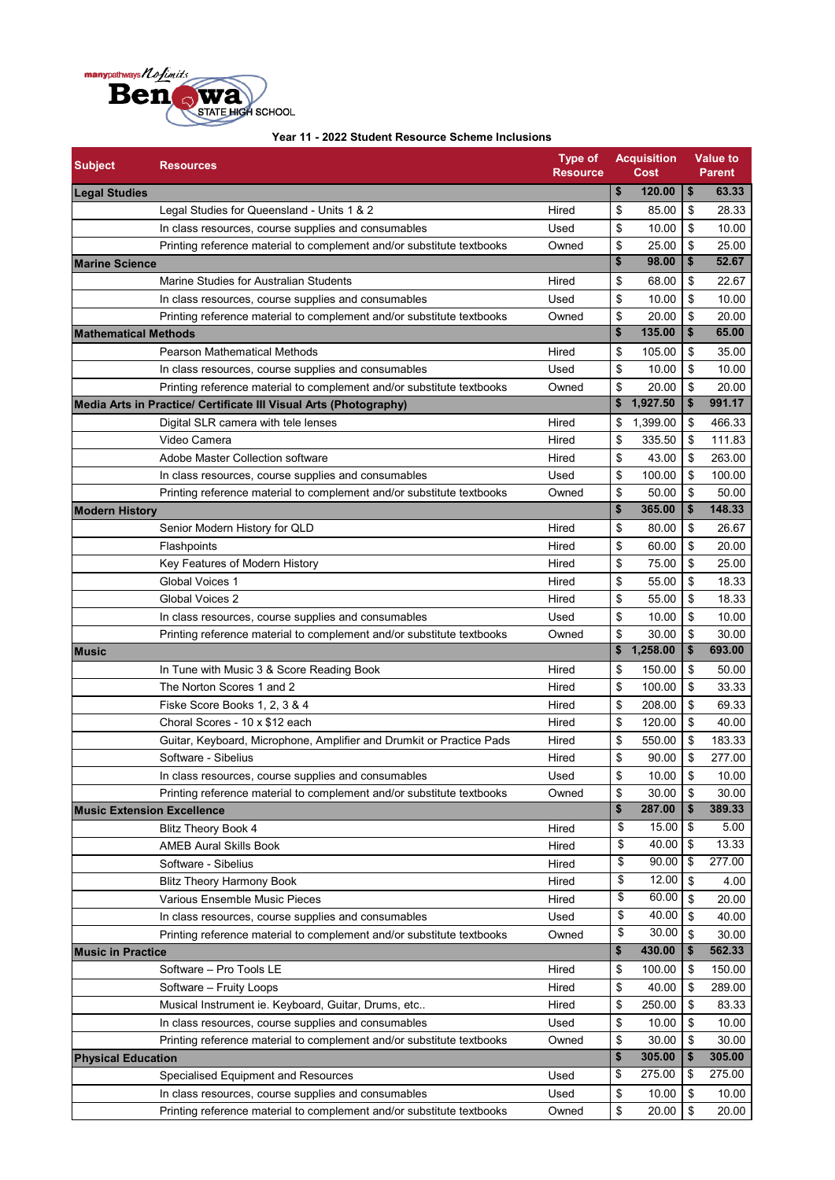

| <b>Subject</b>              | <b>Resources</b>                                                                                           | <b>Type of</b><br><b>Resource</b> |          | <b>Acquisition</b><br>Cost |          | <b>Value to</b><br><b>Parent</b> |
|-----------------------------|------------------------------------------------------------------------------------------------------------|-----------------------------------|----------|----------------------------|----------|----------------------------------|
| <b>Legal Studies</b>        |                                                                                                            |                                   | \$       | 120.00                     | \$       | 63.33                            |
|                             | Legal Studies for Queensland - Units 1 & 2                                                                 | Hired                             | \$       | 85.00                      | \$       | 28.33                            |
|                             | In class resources, course supplies and consumables                                                        | Used                              | \$       | 10.00                      | \$       | 10.00                            |
|                             | Printing reference material to complement and/or substitute textbooks                                      | Owned                             | \$       | 25.00                      | \$       | 25.00                            |
| <b>Marine Science</b>       |                                                                                                            |                                   | \$       | 98.00                      | \$       | 52.67                            |
|                             | Marine Studies for Australian Students                                                                     | Hired                             | \$       | 68.00                      | \$       | 22.67                            |
|                             | In class resources, course supplies and consumables                                                        | Used                              | \$       | 10.00                      | \$       | 10.00                            |
|                             | Printing reference material to complement and/or substitute textbooks                                      | Owned                             | \$       | 20.00                      | \$       | 20.00                            |
| <b>Mathematical Methods</b> |                                                                                                            |                                   | \$       | 135.00                     | \$       | 65.00                            |
|                             | <b>Pearson Mathematical Methods</b>                                                                        | Hired                             | \$       | 105.00                     | \$       | 35.00                            |
|                             | In class resources, course supplies and consumables                                                        | Used                              | \$       | 10.00                      | \$       | 10.00                            |
|                             | Printing reference material to complement and/or substitute textbooks                                      | Owned                             | \$       | 20.00                      | \$       | 20.00                            |
|                             | Media Arts in Practice/ Certificate III Visual Arts (Photography)                                          |                                   |          | \$1,927.50                 | \$       | 991.17                           |
|                             | Digital SLR camera with tele lenses                                                                        | Hired                             | \$       | 1,399.00                   | \$       | 466.33                           |
|                             | Video Camera                                                                                               | Hired                             | \$       | 335.50                     | \$       | 111.83                           |
|                             | Adobe Master Collection software                                                                           | Hired                             | \$       | 43.00                      | \$       | 263.00                           |
|                             | In class resources, course supplies and consumables                                                        | Used                              | \$       | 100.00                     | \$       | 100.00                           |
|                             | Printing reference material to complement and/or substitute textbooks                                      | Owned                             | \$       | 50.00                      | \$       | 50.00                            |
| <b>Modern History</b>       |                                                                                                            |                                   | \$       | 365.00                     | \$       | 148.33                           |
|                             | Senior Modern History for QLD                                                                              | Hired                             | \$       | 80.00                      | \$       | 26.67                            |
|                             | Flashpoints                                                                                                | Hired                             | \$       | 60.00                      | \$       | 20.00                            |
|                             | Key Features of Modern History                                                                             | Hired                             | \$       | 75.00                      | \$       | 25.00                            |
|                             | Global Voices 1                                                                                            | Hired                             | \$       | 55.00                      | \$       | 18.33                            |
|                             | Global Voices 2                                                                                            | Hired                             | \$       | 55.00                      | \$       | 18.33                            |
|                             | In class resources, course supplies and consumables                                                        | Used                              | \$       | 10.00                      | \$       | 10.00                            |
|                             | Printing reference material to complement and/or substitute textbooks                                      | Owned                             | \$       | 30.00                      | \$       | 30.00                            |
| <b>Music</b>                |                                                                                                            |                                   |          | \$1,258.00                 | \$       | 693.00                           |
|                             | In Tune with Music 3 & Score Reading Book                                                                  | Hired                             | \$       | 150.00                     | \$       | 50.00                            |
|                             | The Norton Scores 1 and 2                                                                                  | Hired                             | \$       | 100.00                     | \$       | 33.33                            |
|                             | Fiske Score Books 1, 2, 3 & 4                                                                              | Hired                             | \$       | 208.00                     | \$       | 69.33                            |
|                             | Choral Scores - 10 x \$12 each                                                                             | Hired                             | \$       | 120.00                     | \$       | 40.00                            |
|                             | Guitar, Keyboard, Microphone, Amplifier and Drumkit or Practice Pads                                       | Hired                             | \$       | 550.00                     | \$       | 183.33                           |
|                             | Software - Sibelius                                                                                        | Hired                             | \$       | 90.00                      | \$       | 277.00                           |
|                             |                                                                                                            | Used                              | \$       | 10.00                      | \$       | 10.00                            |
|                             | In class resources, course supplies and consumables                                                        |                                   | \$       | 30.00                      | \$       | 30.00                            |
|                             | Printing reference material to complement and/or substitute textbooks<br><b>Music Extension Excellence</b> | Owned                             | \$       | 287.00                     | \$       | 389.33                           |
|                             |                                                                                                            | Hired                             | \$       | 15.00                      | \$       | 5.00                             |
|                             | <b>Blitz Theory Book 4</b><br><b>AMEB Aural Skills Book</b>                                                | Hired                             | \$       | 40.00                      | \$       | 13.33                            |
|                             | Software - Sibelius                                                                                        | Hired                             | \$       | 90.00                      | \$       | 277.00                           |
|                             |                                                                                                            |                                   | \$       | 12.00                      | \$       |                                  |
|                             | <b>Blitz Theory Harmony Book</b><br>Various Ensemble Music Pieces                                          | Hired<br>Hired                    | \$       | 60.00                      | \$       | 4.00<br>20.00                    |
|                             |                                                                                                            |                                   | \$       | 40.00                      |          |                                  |
|                             | In class resources, course supplies and consumables                                                        | Used                              | \$       | 30.00                      | \$       | 40.00<br>30.00                   |
|                             | Printing reference material to complement and/or substitute textbooks                                      | Owned                             | \$       | 430.00                     | \$<br>\$ | 562.33                           |
| <b>Music in Practice</b>    |                                                                                                            |                                   |          |                            |          |                                  |
|                             | Software - Pro Tools LE                                                                                    | Hired<br>Hired                    | \$<br>\$ | 100.00<br>40.00            | \$<br>\$ | 150.00<br>289.00                 |
|                             | Software - Fruity Loops                                                                                    |                                   |          |                            |          |                                  |
|                             | Musical Instrument ie. Keyboard, Guitar, Drums, etc                                                        | Hired                             | \$       | 250.00                     | \$       | 83.33                            |
|                             | In class resources, course supplies and consumables                                                        | Used                              | \$       | 10.00                      | \$       | 10.00                            |
|                             | Printing reference material to complement and/or substitute textbooks                                      | Owned                             | \$<br>\$ | 30.00<br>305.00            | \$<br>\$ | 30.00<br>305.00                  |
| <b>Physical Education</b>   |                                                                                                            |                                   | \$       | 275.00                     | \$       | 275.00                           |
|                             | Specialised Equipment and Resources                                                                        | Used                              |          |                            |          |                                  |
|                             | In class resources, course supplies and consumables                                                        | Used                              | \$       | 10.00                      | \$       | 10.00                            |
|                             | Printing reference material to complement and/or substitute textbooks                                      | Owned                             | \$       | 20.00                      | \$       | 20.00                            |